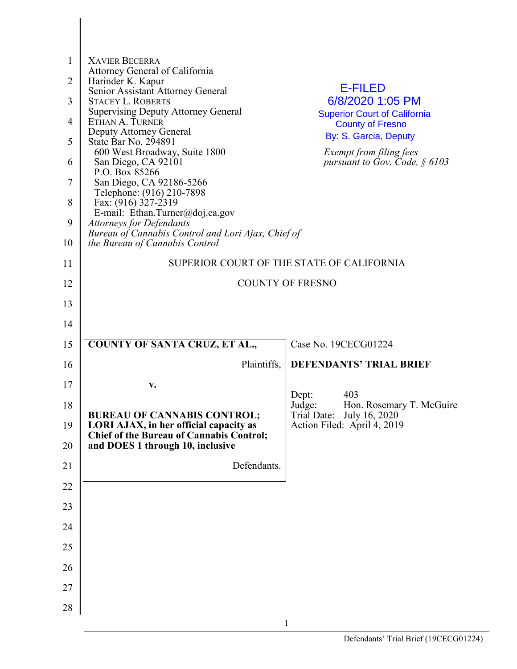| $\mathbf{1}$   | <b>XAVIER BECERRA</b>                                                                |                                                                |
|----------------|--------------------------------------------------------------------------------------|----------------------------------------------------------------|
| $\overline{2}$ | Attorney General of California<br>Harinder K. Kapur                                  |                                                                |
| 3              | Senior Assistant Attorney General<br><b>STACEY L. ROBERTS</b>                        | <b>E-FILED</b><br>6/8/2020 1:05 PM                             |
| $\overline{4}$ | <b>Supervising Deputy Attorney General</b><br>ETHAN A. TURNER                        | <b>Superior Court of California</b><br><b>County of Fresno</b> |
|                | Deputy Attorney General                                                              | By: S. Garcia, Deputy                                          |
| 5              | State Bar No. 294891<br>600 West Broadway, Suite 1800                                | Exempt from filing fees                                        |
| 6              | San Diego, CA 92101<br>P.O. Box 85266                                                | pursuant to Gov. Code, $§$ 6103                                |
| 7              | San Diego, CA 92186-5266<br>Telephone: (916) 210-7898                                |                                                                |
| 8              | Fax: (916) 327-2319                                                                  |                                                                |
| 9              | E-mail: Ethan.Turner@doj.ca.gov<br><b>Attorneys for Defendants</b>                   |                                                                |
| 10             | Bureau of Cannabis Control and Lori Ajax, Chief of<br>the Bureau of Cannabis Control |                                                                |
| 11             |                                                                                      | SUPERIOR COURT OF THE STATE OF CALIFORNIA                      |
| 12             |                                                                                      | <b>COUNTY OF FRESNO</b>                                        |
| 13             |                                                                                      |                                                                |
| 14             |                                                                                      |                                                                |
| 15             | <b>COUNTY OF SANTA CRUZ, ET AL.,</b>                                                 | Case No. 19CECG01224                                           |
| 16             | Plaintiffs,                                                                          | <b>DEFENDANTS' TRIAL BRIEF</b>                                 |
| 17             | v.                                                                                   | 403                                                            |
| 18             |                                                                                      | Dept:<br>Judge:<br>Hon. Rosemary T. McGuire                    |
| 19             | <b>BUREAU OF CANNABIS CONTROL;</b><br>LORI AJAX, in her official capacity as         | Trial Date:<br>July 16, 2020<br>Action Filed: April 4, 2019    |
| 20             | <b>Chief of the Bureau of Cannabis Control;</b><br>and DOES 1 through 10, inclusive  |                                                                |
| 21             | Defendants.                                                                          |                                                                |
| 22             |                                                                                      |                                                                |
| 23             |                                                                                      |                                                                |
| 24             |                                                                                      |                                                                |
| 25             |                                                                                      |                                                                |
| 26             |                                                                                      |                                                                |
| 27             |                                                                                      |                                                                |
| 28             |                                                                                      |                                                                |
|                |                                                                                      |                                                                |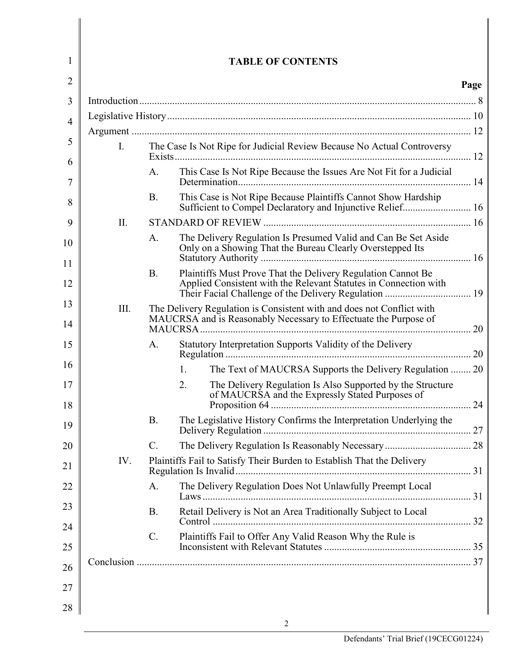| 1              |                |           | <b>TABLE OF CONTENTS</b>                                                                                                    |      |
|----------------|----------------|-----------|-----------------------------------------------------------------------------------------------------------------------------|------|
| 2              |                |           |                                                                                                                             | Page |
| 3              |                |           |                                                                                                                             |      |
| $\overline{4}$ |                |           |                                                                                                                             |      |
|                |                |           |                                                                                                                             |      |
| 5              | $\mathbf{I}$ . |           | The Case Is Not Ripe for Judicial Review Because No Actual Controversy                                                      |      |
| 6<br>7         |                | A.        | This Case Is Not Ripe Because the Issues Are Not Fit for a Judicial                                                         |      |
| 8              |                | <b>B.</b> | This Case is Not Ripe Because Plaintiffs Cannot Show Hardship<br>Sufficient to Compel Declaratory and Injunctive Relief 16  |      |
| 9              | II.            |           |                                                                                                                             |      |
| 10             |                | A.        | The Delivery Regulation Is Presumed Valid and Can Be Set Aside<br>Only on a Showing That the Bureau Clearly Overstepped Its |      |
| 11             |                | <b>B.</b> | Plaintiffs Must Prove That the Delivery Regulation Cannot Be                                                                |      |
| 12             |                |           | Applied Consistent with the Relevant Statutes in Connection with<br>Their Facial Challenge of the Delivery Regulation  19   |      |
| 13             | III.           |           | The Delivery Regulation is Consistent with and does not Conflict with                                                       |      |
| 14             |                |           | MAUCRSA and is Reasonably Necessary to Effectuate the Purpose of                                                            |      |
| 15             |                | A.        | Statutory Interpretation Supports Validity of the Delivery                                                                  |      |
| 16             |                |           | 1.<br>The Text of MAUCRSA Supports the Delivery Regulation  20                                                              |      |
| 17<br>18       |                |           | 2.<br>The Delivery Regulation Is Also Supported by the Structure<br>of MAUCRSA and the Expressly Stated Purposes of         |      |
| 19             |                | <b>B.</b> | The Legislative History Confirms the Interpretation Underlying the                                                          |      |
| 20             |                | $C$ .     |                                                                                                                             |      |
| 21             | IV.            |           | Plaintiffs Fail to Satisfy Their Burden to Establish That the Delivery                                                      |      |
| 22             |                | A.        | The Delivery Regulation Does Not Unlawfully Preempt Local                                                                   |      |
| 23             |                | <b>B.</b> | Retail Delivery is Not an Area Traditionally Subject to Local                                                               |      |
| 24             |                | C.        | Plaintiffs Fail to Offer Any Valid Reason Why the Rule is                                                                   |      |
| 25             |                |           |                                                                                                                             |      |
| 26             |                |           |                                                                                                                             |      |
| 27             |                |           |                                                                                                                             |      |
| 28             |                |           |                                                                                                                             |      |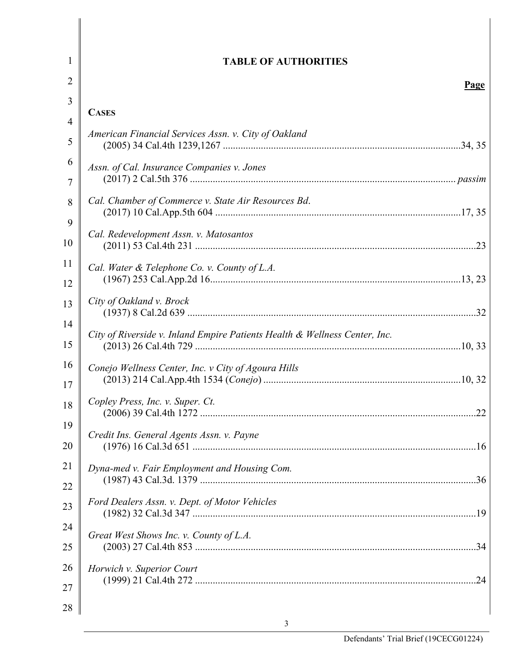| $\mathbf{1}$ | <b>TABLE OF AUTHORITIES</b>                                                |  |
|--------------|----------------------------------------------------------------------------|--|
| 2            | Page                                                                       |  |
| 3            |                                                                            |  |
| 4            | <b>CASES</b>                                                               |  |
| 5            | American Financial Services Assn. v. City of Oakland                       |  |
| 6<br>7       | Assn. of Cal. Insurance Companies v. Jones                                 |  |
| 8            | Cal. Chamber of Commerce v. State Air Resources Bd.                        |  |
| 9            |                                                                            |  |
| 10           | Cal. Redevelopment Assn. v. Matosantos                                     |  |
| 11           | Cal. Water & Telephone Co. v. County of L.A.                               |  |
| 12           |                                                                            |  |
| 13           | City of Oakland v. Brock                                                   |  |
| 14<br>15     | City of Riverside v. Inland Empire Patients Health & Wellness Center, Inc. |  |
| 16           | Conejo Wellness Center, Inc. v City of Agoura Hills                        |  |
| 17           |                                                                            |  |
| 18           | Copley Press, Inc. v. Super. Ct.                                           |  |
| 19           | Credit Ins. General Agents Assn. v. Payne                                  |  |
| 20           |                                                                            |  |
| 21           | Dyna-med v. Fair Employment and Housing Com.                               |  |
| 22           |                                                                            |  |
| 23           | Ford Dealers Assn. v. Dept. of Motor Vehicles                              |  |
| 24           | Great West Shows Inc. v. County of L.A.                                    |  |
| 25           |                                                                            |  |
| 26           | Horwich v. Superior Court                                                  |  |
| 27           |                                                                            |  |
| 28           |                                                                            |  |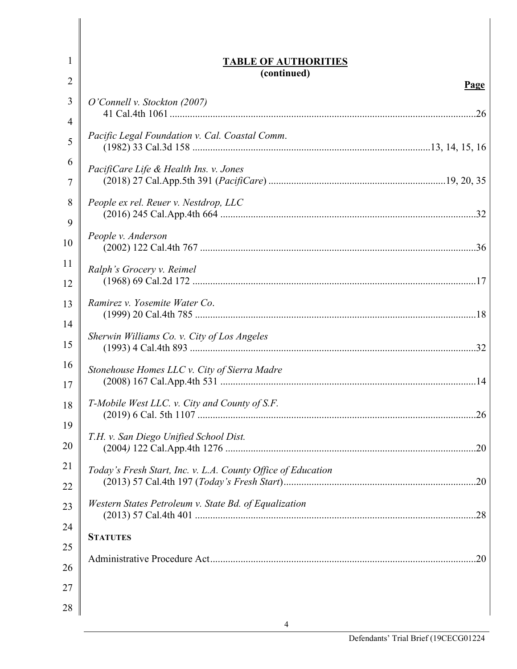| 1        | <b>TABLE OF AUTHORITIES</b>                                  |
|----------|--------------------------------------------------------------|
| 2        | (continued)                                                  |
| 3        | Page<br>O'Connell v. Stockton (2007)                         |
| 4        |                                                              |
| 5        | Pacific Legal Foundation v. Cal. Coastal Comm.               |
| 6        | PacifiCare Life & Health Ins. v. Jones                       |
| 7        |                                                              |
| 8<br>9   | People ex rel. Reuer v. Nestdrop, LLC                        |
| 10       | People v. Anderson                                           |
| 11       | Ralph's Grocery v. Reimel                                    |
| 12       |                                                              |
| 13<br>14 | Ramirez v. Yosemite Water Co.                                |
| 15       | Sherwin Williams Co. v. City of Los Angeles                  |
| 16<br>17 | Stonehouse Homes LLC v. City of Sierra Madre                 |
| 18       | T-Mobile West LLC. v. City and County of S.F.                |
| 19<br>20 | T.H. v. San Diego Unified School Dist.                       |
| 21<br>22 | Today's Fresh Start, Inc. v. L.A. County Office of Education |
| 23       | Western States Petroleum v. State Bd. of Equalization        |
| 24<br>25 | <b>STATUTES</b>                                              |
| 26       |                                                              |
| 27       |                                                              |
| 28       |                                                              |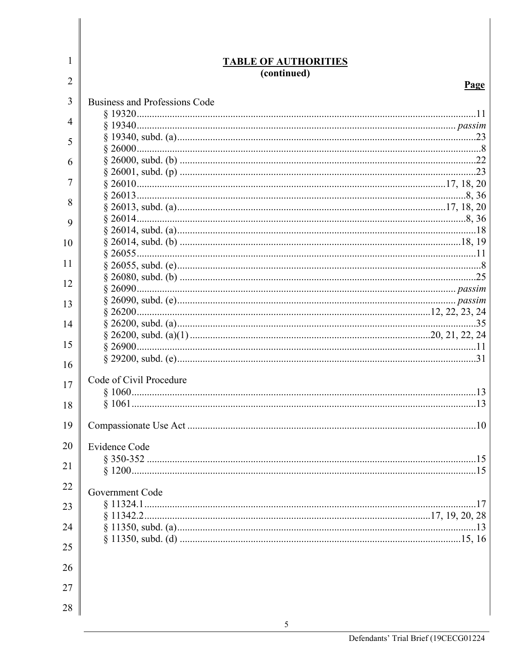| 1  | <b>TABLE OF AUTHORITIES</b>          |
|----|--------------------------------------|
| 2  | (continued)<br>Page                  |
|    |                                      |
| 3  | <b>Business and Professions Code</b> |
| 4  |                                      |
|    |                                      |
| 5  |                                      |
| 6  |                                      |
|    |                                      |
| 7  |                                      |
| 8  |                                      |
|    |                                      |
| 9  |                                      |
| 10 |                                      |
|    |                                      |
| 11 |                                      |
|    |                                      |
| 12 |                                      |
| 13 |                                      |
|    |                                      |
| 14 |                                      |
| 15 |                                      |
|    |                                      |
| 16 |                                      |
| 17 | Code of Civil Procedure              |
|    |                                      |
| 18 |                                      |
|    |                                      |
| 19 | .10                                  |
| 20 | <b>Evidence Code</b>                 |
|    |                                      |
| 21 |                                      |
| 22 |                                      |
|    | Government Code                      |
| 23 |                                      |
|    |                                      |
| 24 |                                      |
| 25 |                                      |
|    |                                      |
| 26 |                                      |
| 27 |                                      |
|    |                                      |
| 28 |                                      |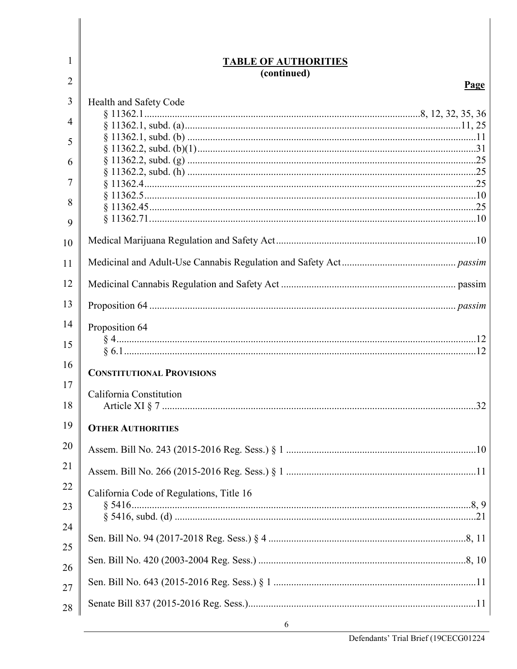| 1              | <u>TABLE OF AUTHORITIES</u>              |
|----------------|------------------------------------------|
| $\overline{2}$ | (continued)<br>Page                      |
| 3              | Health and Safety Code                   |
|                |                                          |
| 4              |                                          |
| 5              |                                          |
| 6              |                                          |
|                |                                          |
| 7              |                                          |
| 8              |                                          |
| 9              |                                          |
| 10             |                                          |
| 11             |                                          |
| 12             |                                          |
| 13             |                                          |
| 14             | Proposition 64                           |
| 15             |                                          |
| 16             | <b>CONSTITUTIONAL PROVISIONS</b>         |
| 17             |                                          |
| 18             | California Constitution<br>32            |
| 19             | <b>OTHER AUTHORITIES</b>                 |
| 20             |                                          |
| 21             |                                          |
| 22             | California Code of Regulations, Title 16 |
| 23             |                                          |
| 24             |                                          |
| 25             |                                          |
| 26             |                                          |
| 27             |                                          |
| 28             |                                          |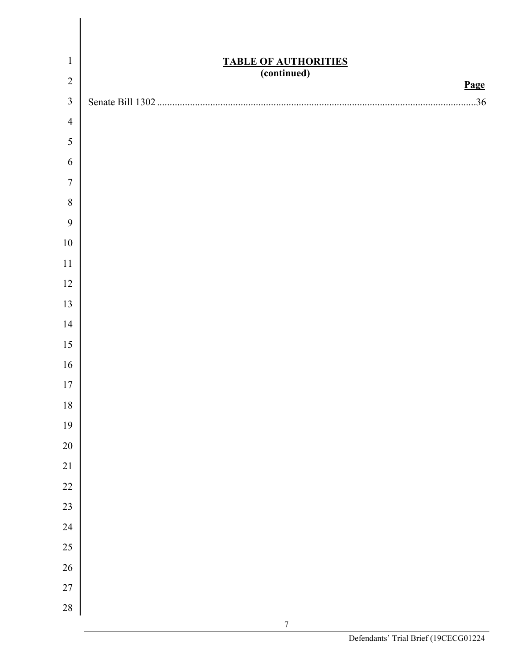| $\mathbf{1}$     |                                                    |
|------------------|----------------------------------------------------|
| $\sqrt{2}$       | <b>TABLE OF AUTHORITIES</b><br>(continued)<br>Page |
| $\mathfrak{Z}$   | .36                                                |
| $\overline{4}$   |                                                    |
| $\sqrt{5}$       |                                                    |
| 6                |                                                    |
| $\boldsymbol{7}$ |                                                    |
| $\,8\,$          |                                                    |
| 9                |                                                    |
| $10\,$           |                                                    |
| $11$             |                                                    |
| 12               |                                                    |
| 13               |                                                    |
| 14               |                                                    |
| 15               |                                                    |
| 16               |                                                    |
| $17\,$           |                                                    |
| $18\,$           |                                                    |
| 19               |                                                    |
| $20\,$           |                                                    |
| $21\,$           |                                                    |
| $22\,$           |                                                    |
| 23               |                                                    |
| $24\,$           |                                                    |
| 25               |                                                    |
| $26\,$           |                                                    |
| $27\,$           |                                                    |
| $28\,$           |                                                    |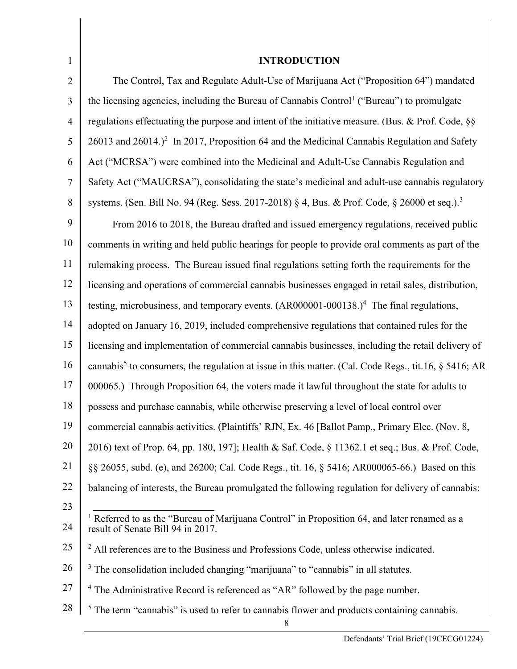| 1              | <b>INTRODUCTION</b>                                                                                                                          |
|----------------|----------------------------------------------------------------------------------------------------------------------------------------------|
| $\overline{2}$ | The Control, Tax and Regulate Adult-Use of Marijuana Act ("Proposition 64") mandated                                                         |
| 3              | the licensing agencies, including the Bureau of Cannabis Control <sup>1</sup> ("Bureau") to promulgate                                       |
| $\overline{4}$ | regulations effectuating the purpose and intent of the initiative measure. (Bus. & Prof. Code, §§                                            |
| 5              | $26013$ and $26014$ .) <sup>2</sup> In 2017, Proposition 64 and the Medicinal Cannabis Regulation and Safety                                 |
| 6              | Act ("MCRSA") were combined into the Medicinal and Adult-Use Cannabis Regulation and                                                         |
| $\tau$         | Safety Act ("MAUCRSA"), consolidating the state's medicinal and adult-use cannabis regulatory                                                |
| 8              | systems. (Sen. Bill No. 94 (Reg. Sess. 2017-2018) § 4, Bus. & Prof. Code, § 26000 et seq.). <sup>3</sup>                                     |
| 9              | From 2016 to 2018, the Bureau drafted and issued emergency regulations, received public                                                      |
| 10             | comments in writing and held public hearings for people to provide oral comments as part of the                                              |
| 11             | rulemaking process. The Bureau issued final regulations setting forth the requirements for the                                               |
| 12             | licensing and operations of commercial cannabis businesses engaged in retail sales, distribution,                                            |
| 13             | testing, microbusiness, and temporary events. $(AR000001-000138.)4$ The final regulations,                                                   |
| 14             | adopted on January 16, 2019, included comprehensive regulations that contained rules for the                                                 |
| 15             | licensing and implementation of commercial cannabis businesses, including the retail delivery of                                             |
| 16             | cannabis <sup>5</sup> to consumers, the regulation at issue in this matter. (Cal. Code Regs., tit.16, $\S$ 5416; AR                          |
| 17             | 000065.) Through Proposition 64, the voters made it lawful throughout the state for adults to                                                |
| 18             | possess and purchase cannabis, while otherwise preserving a level of local control over                                                      |
| 19             | commercial cannabis activities. (Plaintiffs' RJN, Ex. 46 [Ballot Pamp., Primary Elec. (Nov. 8,                                               |
| 20             | 2016) text of Prop. 64, pp. 180, 197]; Health & Saf. Code, § 11362.1 et seq.; Bus. & Prof. Code,                                             |
| 21             | §§ 26055, subd. (e), and 26200; Cal. Code Regs., tit. 16, § 5416; AR000065-66.) Based on this                                                |
| 22             | balancing of interests, the Bureau promulgated the following regulation for delivery of cannabis:                                            |
| 23             |                                                                                                                                              |
| 24             | <sup>1</sup> Referred to as the "Bureau of Marijuana Control" in Proposition 64, and later renamed as a<br>result of Senate Bill 94 in 2017. |
| 25             | $2$ All references are to the Business and Professions Code, unless otherwise indicated.                                                     |
| 26             | <sup>3</sup> The consolidation included changing "marijuana" to "cannabis" in all statutes.                                                  |
| 27             | $4$ The Administrative Record is referenced as "AR" followed by the page number.                                                             |
| 28             | $5$ The term "cannabis" is used to refer to cannabis flower and products containing cannabis.                                                |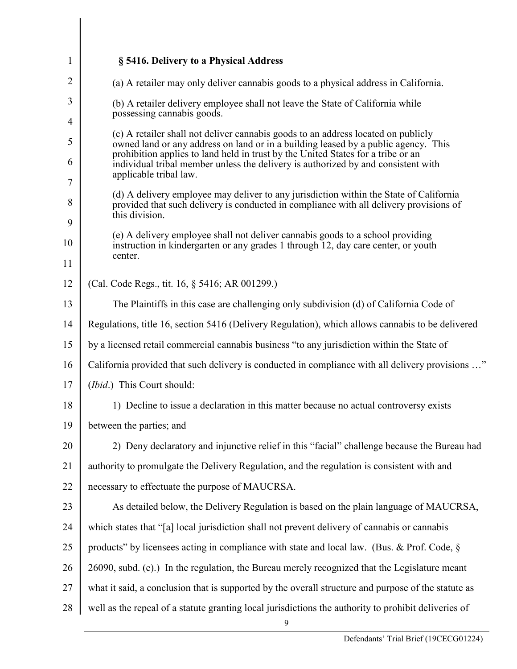| 1              | § 5416. Delivery to a Physical Address                                                                                                                                                                                                                      |
|----------------|-------------------------------------------------------------------------------------------------------------------------------------------------------------------------------------------------------------------------------------------------------------|
| $\overline{2}$ | (a) A retailer may only deliver cannabis goods to a physical address in California.                                                                                                                                                                         |
| 3<br>4         | (b) A retailer delivery employee shall not leave the State of California while<br>possessing cannabis goods.                                                                                                                                                |
| 5              | (c) A retailer shall not deliver cannabis goods to an address located on publicly<br>owned land or any address on land or in a building leased by a public agency. This<br>prohibition applies to land held in trust by the United States for a tribe or an |
| 6<br>7         | individual tribal member unless the delivery is authorized by and consistent with<br>applicable tribal law.                                                                                                                                                 |
| 8<br>9         | (d) A delivery employee may deliver to any jurisdiction within the State of California<br>provided that such delivery is conducted in compliance with all delivery provisions of<br>this division.                                                          |
| 10<br>11       | (e) A delivery employee shall not deliver cannabis goods to a school providing<br>instruction in kindergarten or any grades 1 through 12, day care center, or youth<br>center.                                                                              |
| 12             | (Cal. Code Regs., tit. 16, § 5416; AR 001299.)                                                                                                                                                                                                              |
| 13             | The Plaintiffs in this case are challenging only subdivision (d) of California Code of                                                                                                                                                                      |
| 14             | Regulations, title 16, section 5416 (Delivery Regulation), which allows cannabis to be delivered                                                                                                                                                            |
| 15             | by a licensed retail commercial cannabis business "to any jurisdiction within the State of                                                                                                                                                                  |
| 16             | California provided that such delivery is conducted in compliance with all delivery provisions "                                                                                                                                                            |
| 17             | (Ibid.) This Court should:                                                                                                                                                                                                                                  |
| 18             | 1) Decline to issue a declaration in this matter because no actual controversy exists                                                                                                                                                                       |
| 19             | between the parties; and                                                                                                                                                                                                                                    |
| 20             | 2) Deny declaratory and injunctive relief in this "facial" challenge because the Bureau had                                                                                                                                                                 |
| 21             | authority to promulgate the Delivery Regulation, and the regulation is consistent with and                                                                                                                                                                  |
| 22             | necessary to effectuate the purpose of MAUCRSA.                                                                                                                                                                                                             |
| 23             | As detailed below, the Delivery Regulation is based on the plain language of MAUCRSA,                                                                                                                                                                       |
| 24             | which states that "[a] local jurisdiction shall not prevent delivery of cannabis or cannabis                                                                                                                                                                |
| 25             | products" by licensees acting in compliance with state and local law. (Bus. & Prof. Code, §                                                                                                                                                                 |
| 26             | 26090, subd. (e).) In the regulation, the Bureau merely recognized that the Legislature meant                                                                                                                                                               |
| 27             | what it said, a conclusion that is supported by the overall structure and purpose of the statute as                                                                                                                                                         |
| 28             | well as the repeal of a statute granting local jurisdictions the authority to prohibit deliveries of<br>9                                                                                                                                                   |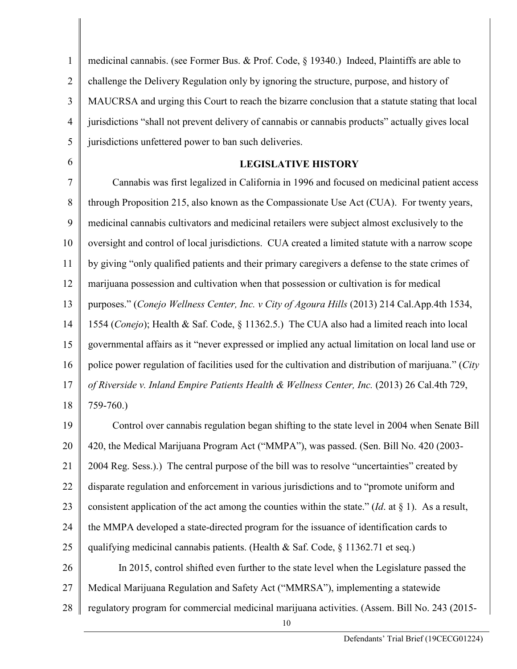1 2 3 4 5 medicinal cannabis. (see Former Bus. & Prof. Code, § 19340.) Indeed, Plaintiffs are able to challenge the Delivery Regulation only by ignoring the structure, purpose, and history of MAUCRSA and urging this Court to reach the bizarre conclusion that a statute stating that local jurisdictions "shall not prevent delivery of cannabis or cannabis products" actually gives local jurisdictions unfettered power to ban such deliveries.

6

**LEGISLATIVE HISTORY**

7 8 9 10 11 12 13 14 15 16 17 18 Cannabis was first legalized in California in 1996 and focused on medicinal patient access through Proposition 215, also known as the Compassionate Use Act (CUA). For twenty years, medicinal cannabis cultivators and medicinal retailers were subject almost exclusively to the oversight and control of local jurisdictions. CUA created a limited statute with a narrow scope by giving "only qualified patients and their primary caregivers a defense to the state crimes of marijuana possession and cultivation when that possession or cultivation is for medical purposes." (*Conejo Wellness Center, Inc. v City of Agoura Hills* (2013) 214 Cal.App.4th 1534, 1554 (*Conejo*); Health & Saf. Code, § 11362.5.) The CUA also had a limited reach into local governmental affairs as it "never expressed or implied any actual limitation on local land use or police power regulation of facilities used for the cultivation and distribution of marijuana." (*City of Riverside v. Inland Empire Patients Health & Wellness Center, Inc.* (2013) 26 Cal.4th 729, 759-760.)

19 20 21 22 23 24 25 26 27 Control over cannabis regulation began shifting to the state level in 2004 when Senate Bill 420, the Medical Marijuana Program Act ("MMPA"), was passed. (Sen. Bill No. 420 (2003- 2004 Reg. Sess.).) The central purpose of the bill was to resolve "uncertainties" created by disparate regulation and enforcement in various jurisdictions and to "promote uniform and consistent application of the act among the counties within the state."  $(Id$ . at  $\S$  1). As a result, the MMPA developed a state-directed program for the issuance of identification cards to qualifying medicinal cannabis patients. (Health & Saf. Code,  $\S$  11362.71 et seq.) In 2015, control shifted even further to the state level when the Legislature passed the Medical Marijuana Regulation and Safety Act ("MMRSA"), implementing a statewide

28 regulatory program for commercial medicinal marijuana activities. (Assem. Bill No. 243 (2015-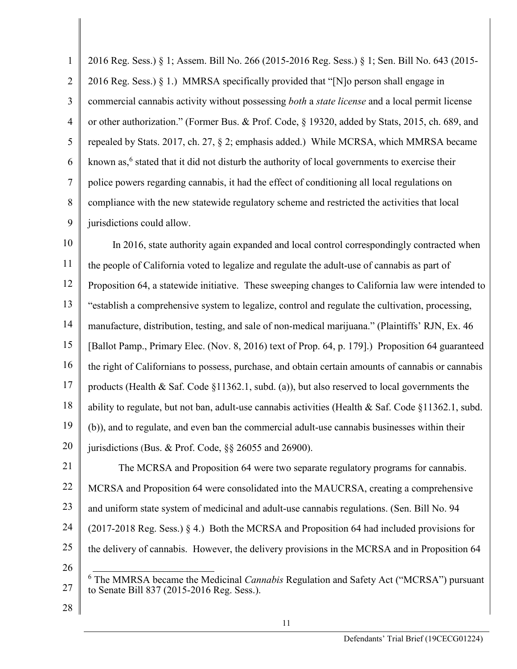1 2 3 4 5 6 7 8 9 2016 Reg. Sess.) § 1; Assem. Bill No. 266 (2015-2016 Reg. Sess.) § 1; Sen. Bill No. 643 (2015- 2016 Reg. Sess.) § 1.) MMRSA specifically provided that "[N]o person shall engage in commercial cannabis activity without possessing *both* a *state license* and a local permit license or other authorization." (Former Bus. & Prof. Code, § 19320, added by Stats, 2015, ch. 689, and repealed by Stats. 2017, ch. 27, § 2; emphasis added.) While MCRSA, which MMRSA became known as, <sup>6</sup> stated that it did not disturb the authority of local governments to exercise their police powers regarding cannabis, it had the effect of conditioning all local regulations on compliance with the new statewide regulatory scheme and restricted the activities that local jurisdictions could allow.

10 11 12 13 14 15 16 17 18 19 20 In 2016, state authority again expanded and local control correspondingly contracted when the people of California voted to legalize and regulate the adult-use of cannabis as part of Proposition 64, a statewide initiative. These sweeping changes to California law were intended to "establish a comprehensive system to legalize, control and regulate the cultivation, processing, manufacture, distribution, testing, and sale of non-medical marijuana." (Plaintiffs' RJN, Ex. 46 [Ballot Pamp., Primary Elec. (Nov. 8, 2016) text of Prop. 64, p. 179].) Proposition 64 guaranteed the right of Californians to possess, purchase, and obtain certain amounts of cannabis or cannabis products (Health & Saf. Code §11362.1, subd. (a)), but also reserved to local governments the ability to regulate, but not ban, adult-use cannabis activities (Health & Saf. Code §11362.1, subd. (b)), and to regulate, and even ban the commercial adult-use cannabis businesses within their jurisdictions (Bus. & Prof. Code, §§ 26055 and 26900).

21 22 23 24 25 26 The MCRSA and Proposition 64 were two separate regulatory programs for cannabis. MCRSA and Proposition 64 were consolidated into the MAUCRSA, creating a comprehensive and uniform state system of medicinal and adult-use cannabis regulations. (Sen. Bill No. 94 (2017-2018 Reg. Sess.) § 4.) Both the MCRSA and Proposition 64 had included provisions for the delivery of cannabis. However, the delivery provisions in the MCRSA and in Proposition 64

- 27 6 The MMRSA became the Medicinal *Cannabis* Regulation and Safety Act ("MCRSA") pursuant to Senate Bill 837 (2015-2016 Reg. Sess.).
- 28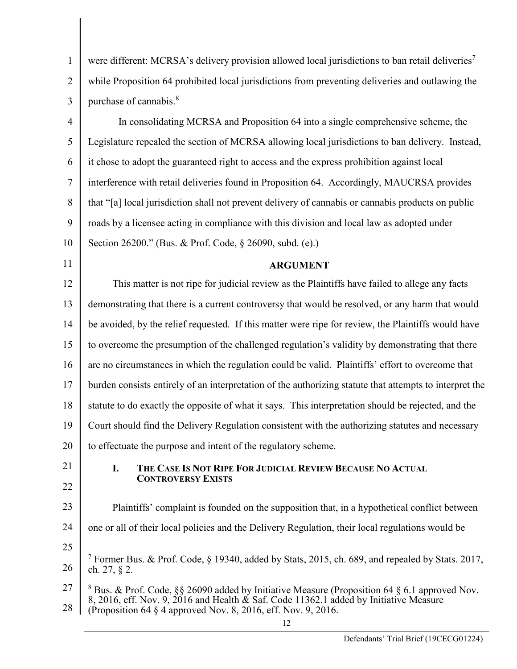| $\mathbf{1}$   | were different: MCRSA's delivery provision allowed local jurisdictions to ban retail deliveries <sup>7</sup>                                                                                                                                                       |
|----------------|--------------------------------------------------------------------------------------------------------------------------------------------------------------------------------------------------------------------------------------------------------------------|
| $\overline{2}$ | while Proposition 64 prohibited local jurisdictions from preventing deliveries and outlawing the                                                                                                                                                                   |
| 3              | purchase of cannabis. <sup>8</sup>                                                                                                                                                                                                                                 |
| $\overline{4}$ | In consolidating MCRSA and Proposition 64 into a single comprehensive scheme, the                                                                                                                                                                                  |
| 5              | Legislature repealed the section of MCRSA allowing local jurisdictions to ban delivery. Instead,                                                                                                                                                                   |
| 6              | it chose to adopt the guaranteed right to access and the express prohibition against local                                                                                                                                                                         |
| 7              | interference with retail deliveries found in Proposition 64. Accordingly, MAUCRSA provides                                                                                                                                                                         |
| 8              | that "[a] local jurisdiction shall not prevent delivery of cannabis or cannabis products on public                                                                                                                                                                 |
| 9              | roads by a licensee acting in compliance with this division and local law as adopted under                                                                                                                                                                         |
| 10             | Section 26200." (Bus. & Prof. Code, § 26090, subd. (e).)                                                                                                                                                                                                           |
| 11             | <b>ARGUMENT</b>                                                                                                                                                                                                                                                    |
| 12             | This matter is not ripe for judicial review as the Plaintiffs have failed to allege any facts                                                                                                                                                                      |
| 13             | demonstrating that there is a current controversy that would be resolved, or any harm that would                                                                                                                                                                   |
| 14             | be avoided, by the relief requested. If this matter were ripe for review, the Plaintiffs would have                                                                                                                                                                |
| 15             | to overcome the presumption of the challenged regulation's validity by demonstrating that there                                                                                                                                                                    |
| 16             | are no circumstances in which the regulation could be valid. Plaintiffs' effort to overcome that                                                                                                                                                                   |
| 17             | burden consists entirely of an interpretation of the authorizing statute that attempts to interpret the                                                                                                                                                            |
| 18             | statute to do exactly the opposite of what it says. This interpretation should be rejected, and the                                                                                                                                                                |
| 19             | Court should find the Delivery Regulation consistent with the authorizing statutes and necessary                                                                                                                                                                   |
| 20             | to effectuate the purpose and intent of the regulatory scheme.                                                                                                                                                                                                     |
| 21             | THE CASE IS NOT RIPE FOR JUDICIAL REVIEW BECAUSE NO ACTUAL<br>I.                                                                                                                                                                                                   |
| 22             | <b>CONTROVERSY EXISTS</b>                                                                                                                                                                                                                                          |
| 23             | Plaintiffs' complaint is founded on the supposition that, in a hypothetical conflict between                                                                                                                                                                       |
| 24             | one or all of their local policies and the Delivery Regulation, their local regulations would be                                                                                                                                                                   |
| 25             |                                                                                                                                                                                                                                                                    |
| 26             | <sup>7</sup> Former Bus. & Prof. Code, § 19340, added by Stats, 2015, ch. 689, and repealed by Stats. 2017,<br>ch. 27, § 2.                                                                                                                                        |
| 27<br>28       | <sup>8</sup> Bus. & Prof. Code, §§ 26090 added by Initiative Measure (Proposition 64 § 6.1 approved Nov.<br>8, 2016, eff. Nov. 9, 2016 and Health & Saf. Code 11362.1 added by Initiative Measure<br>(Proposition 64 § 4 approved Nov. 8, 2016, eff. Nov. 9, 2016. |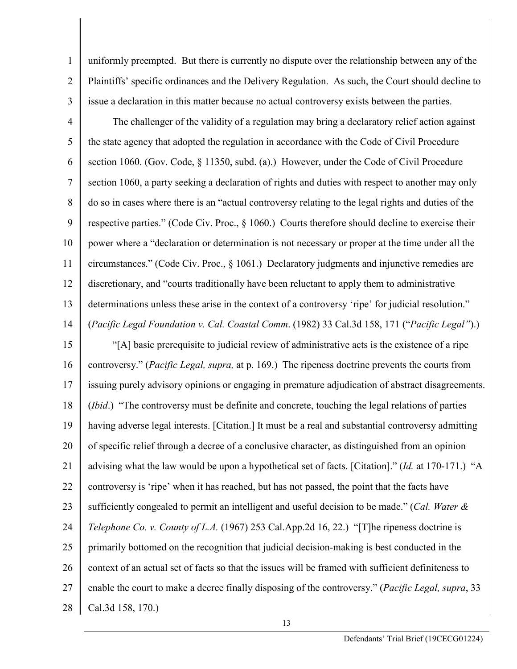uniformly preempted. But there is currently no dispute over the relationship between any of the Plaintiffs' specific ordinances and the Delivery Regulation. As such, the Court should decline to issue a declaration in this matter because no actual controversy exists between the parties.

1

2

3

4 5 6 7 8 9 10 11 12 13 14 The challenger of the validity of a regulation may bring a declaratory relief action against the state agency that adopted the regulation in accordance with the Code of Civil Procedure section 1060. (Gov. Code, § 11350, subd. (a).) However, under the Code of Civil Procedure section 1060, a party seeking a declaration of rights and duties with respect to another may only do so in cases where there is an "actual controversy relating to the legal rights and duties of the respective parties." (Code Civ. Proc., § 1060.) Courts therefore should decline to exercise their power where a "declaration or determination is not necessary or proper at the time under all the circumstances." (Code Civ. Proc., § 1061.) Declaratory judgments and injunctive remedies are discretionary, and "courts traditionally have been reluctant to apply them to administrative determinations unless these arise in the context of a controversy 'ripe' for judicial resolution." (*Pacific Legal Foundation v. Cal. Coastal Comm*. (1982) 33 Cal.3d 158, 171 ("*Pacific Legal"*).)

15 16 17 18 19 20 21 22 23 24 25 26 27 28 "[A] basic prerequisite to judicial review of administrative acts is the existence of a ripe controversy." (*Pacific Legal, supra,* at p. 169.) The ripeness doctrine prevents the courts from issuing purely advisory opinions or engaging in premature adjudication of abstract disagreements. (*Ibid*.) "The controversy must be definite and concrete, touching the legal relations of parties having adverse legal interests. [Citation.] It must be a real and substantial controversy admitting of specific relief through a decree of a conclusive character, as distinguished from an opinion advising what the law would be upon a hypothetical set of facts. [Citation]." (*Id.* at 170-171.) "A controversy is 'ripe' when it has reached, but has not passed, the point that the facts have sufficiently congealed to permit an intelligent and useful decision to be made." (*Cal. Water & Telephone Co. v. County of L.A.* (1967) 253 Cal.App.2d 16, 22.) "[T]he ripeness doctrine is primarily bottomed on the recognition that judicial decision-making is best conducted in the context of an actual set of facts so that the issues will be framed with sufficient definiteness to enable the court to make a decree finally disposing of the controversy." (*Pacific Legal, supra*, 33 Cal.3d 158, 170.)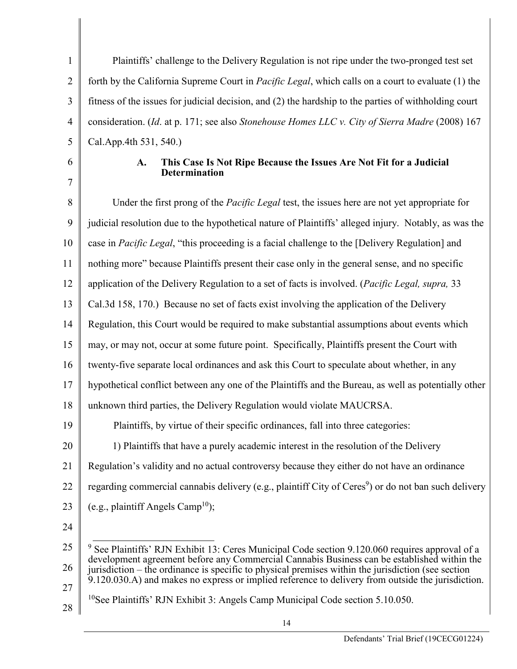Plaintiffs' challenge to the Delivery Regulation is not ripe under the two-pronged test set forth by the California Supreme Court in *Pacific Legal*, which calls on a court to evaluate (1) the fitness of the issues for judicial decision, and (2) the hardship to the parties of withholding court consideration. (*Id*. at p. 171; see also *Stonehouse Homes LLC v. City of Sierra Madre* (2008) 167 Cal.App.4th 531, 540.)

6 7

1

2

3

4

5

## **A. This Case Is Not Ripe Because the Issues Are Not Fit for a Judicial Determination**

8 9 10 11 12 13 14 15 16 17 18 19 20 21 22 23 24 25 26 Under the first prong of the *Pacific Legal* test, the issues here are not yet appropriate for judicial resolution due to the hypothetical nature of Plaintiffs' alleged injury. Notably, as was the case in *Pacific Legal*, "this proceeding is a facial challenge to the [Delivery Regulation] and nothing more" because Plaintiffs present their case only in the general sense, and no specific application of the Delivery Regulation to a set of facts is involved. (*Pacific Legal, supra,* 33 Cal.3d 158, 170.) Because no set of facts exist involving the application of the Delivery Regulation, this Court would be required to make substantial assumptions about events which may, or may not, occur at some future point. Specifically, Plaintiffs present the Court with twenty-five separate local ordinances and ask this Court to speculate about whether, in any hypothetical conflict between any one of the Plaintiffs and the Bureau, as well as potentially other unknown third parties, the Delivery Regulation would violate MAUCRSA. Plaintiffs, by virtue of their specific ordinances, fall into three categories: 1) Plaintiffs that have a purely academic interest in the resolution of the Delivery Regulation's validity and no actual controversy because they either do not have an ordinance regarding commercial cannabis delivery (e.g., plaintiff City of Ceres<sup>9</sup>) or do not ban such delivery (e.g., plaintiff Angels Camp<sup>10</sup>);  $9$  See Plaintiffs' RJN Exhibit 13: Ceres Municipal Code section 9.120.060 requires approval of a development agreement before any Commercial Cannabis Business can be established within the jurisdiction – the ordinance is specific to physical premises within the jurisdiction (see section

- $9.120.030$ . A) and makes no express or implied reference to delivery from outside the jurisdiction.
- 27 28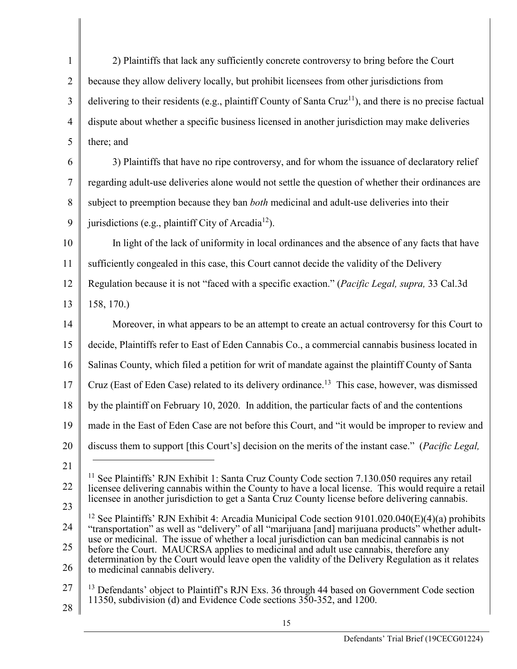1 2 3 4 5 2) Plaintiffs that lack any sufficiently concrete controversy to bring before the Court because they allow delivery locally, but prohibit licensees from other jurisdictions from delivering to their residents (e.g., plaintiff County of Santa Cruz<sup>11</sup>), and there is no precise factual dispute about whether a specific business licensed in another jurisdiction may make deliveries there; and

6 7 8 9 3) Plaintiffs that have no ripe controversy, and for whom the issuance of declaratory relief regarding adult-use deliveries alone would not settle the question of whether their ordinances are subject to preemption because they ban *both* medicinal and adult-use deliveries into their jurisdictions (e.g., plaintiff City of Arcadia<sup>12</sup>).

10 11 In light of the lack of uniformity in local ordinances and the absence of any facts that have sufficiently congealed in this case, this Court cannot decide the validity of the Delivery

12 Regulation because it is not "faced with a specific exaction." (*Pacific Legal, supra,* 33 Cal.3d

13 158, 170.)

14 15 16 17 18 19 20 21 22 Moreover, in what appears to be an attempt to create an actual controversy for this Court to decide, Plaintiffs refer to East of Eden Cannabis Co., a commercial cannabis business located in Salinas County, which filed a petition for writ of mandate against the plaintiff County of Santa Cruz (East of Eden Case) related to its delivery ordinance. 13 This case, however, was dismissed by the plaintiff on February 10, 2020. In addition, the particular facts of and the contentions made in the East of Eden Case are not before this Court, and "it would be improper to review and discuss them to support [this Court's] decision on the merits of the instant case." (*Pacific Legal,*  l  $11$  See Plaintiffs' RJN Exhibit 1: Santa Cruz County Code section 7.130.050 requires any retail

23 licensee delivering cannabis within the County to have a local license. This would require a retail licensee in another jurisdiction to get a Santa Cruz County license before delivering cannabis.

24 25 26 <sup>12</sup> See Plaintiffs' RJN Exhibit 4: Arcadia Municipal Code section  $9101.020.040(E)(4)(a)$  prohibits "transportation" as well as "delivery" of all "marijuana [and] marijuana products" whether adultuse or medicinal. The issue of whether a local jurisdiction can ban medicinal cannabis is not before the Court. MAUCRSA applies to medicinal and adult use cannabis, therefore any determination by the Court would leave open the validity of the Delivery Regulation as it relates to medicinal cannabis delivery.

- 27 <sup>13</sup> Defendants' object to Plaintiff's RJN Exs. 36 through 44 based on Government Code section 11350, subdivision (d) and Evidence Code sections 350-352, and 1200.
- 28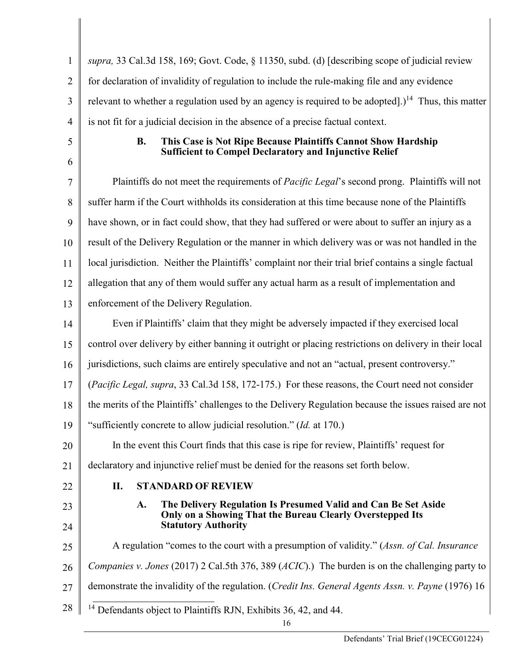| 1              | supra, 33 Cal.3d 158, 169; Govt. Code, § 11350, subd. (d) [describing scope of judicial review                                              |
|----------------|---------------------------------------------------------------------------------------------------------------------------------------------|
| $\overline{2}$ | for declaration of invalidity of regulation to include the rule-making file and any evidence                                                |
| 3              | relevant to whether a regulation used by an agency is required to be adopted].) <sup>14</sup> Thus, this matter                             |
| $\overline{4}$ | is not fit for a judicial decision in the absence of a precise factual context.                                                             |
| 5              | This Case is Not Ripe Because Plaintiffs Cannot Show Hardship<br><b>B.</b><br><b>Sufficient to Compel Declaratory and Injunctive Relief</b> |
| 6              |                                                                                                                                             |
| 7              | Plaintiffs do not meet the requirements of <i>Pacific Legal</i> 's second prong. Plaintiffs will not                                        |
| 8              | suffer harm if the Court withholds its consideration at this time because none of the Plaintiffs                                            |
| 9              | have shown, or in fact could show, that they had suffered or were about to suffer an injury as a                                            |
| 10             | result of the Delivery Regulation or the manner in which delivery was or was not handled in the                                             |
| 11             | local jurisdiction. Neither the Plaintiffs' complaint nor their trial brief contains a single factual                                       |
| 12             | allegation that any of them would suffer any actual harm as a result of implementation and                                                  |
| 13             | enforcement of the Delivery Regulation.                                                                                                     |
| 14             | Even if Plaintiffs' claim that they might be adversely impacted if they exercised local                                                     |
| 15             | control over delivery by either banning it outright or placing restrictions on delivery in their local                                      |
| 16             | jurisdictions, such claims are entirely speculative and not an "actual, present controversy."                                               |
| 17             | (Pacific Legal, supra, 33 Cal.3d 158, 172-175.) For these reasons, the Court need not consider                                              |
| 18             | the merits of the Plaintiffs' challenges to the Delivery Regulation because the issues raised are not                                       |
| 19             | "sufficiently concrete to allow judicial resolution." (Id. at 170.)                                                                         |
| 20             | In the event this Court finds that this case is ripe for review, Plaintiffs' request for                                                    |
| 21             | declaratory and injunctive relief must be denied for the reasons set forth below.                                                           |
| 22             | <b>STANDARD OF REVIEW</b><br>II.                                                                                                            |
| 23             | The Delivery Regulation Is Presumed Valid and Can Be Set Aside<br>A.<br>Only on a Showing That the Bureau Clearly Overstepped Its           |
| 24             | <b>Statutory Authority</b>                                                                                                                  |
| 25             | A regulation "comes to the court with a presumption of validity." (Assn. of Cal. Insurance                                                  |
| 26             | Companies v. Jones (2017) 2 Cal.5th 376, 389 (ACIC).) The burden is on the challenging party to                                             |
| 27             | demonstrate the invalidity of the regulation. (Credit Ins. General Agents Assn. v. Payne (1976) 16                                          |
| 28             | $14$ Defendants object to Plaintiffs RJN, Exhibits 36, 42, and 44.                                                                          |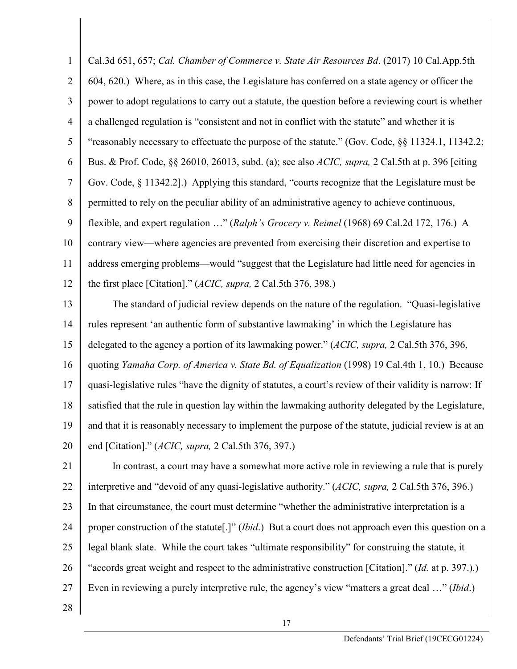1 2 3 4 5 6 7 8 9 10 11 12 Cal.3d 651, 657; *Cal. Chamber of Commerce v. State Air Resources Bd*. (2017) 10 Cal.App.5th 604, 620.) Where, as in this case, the Legislature has conferred on a state agency or officer the power to adopt regulations to carry out a statute, the question before a reviewing court is whether a challenged regulation is "consistent and not in conflict with the statute" and whether it is "reasonably necessary to effectuate the purpose of the statute." (Gov. Code, §§ 11324.1, 11342.2; Bus. & Prof. Code, §§ 26010, 26013, subd. (a); see also *ACIC, supra,* 2 Cal.5th at p. 396 [citing Gov. Code, § 11342.2].) Applying this standard, "courts recognize that the Legislature must be permitted to rely on the peculiar ability of an administrative agency to achieve continuous, flexible, and expert regulation …" (*Ralph's Grocery v. Reimel* (1968) 69 Cal.2d 172, 176.) A contrary view—where agencies are prevented from exercising their discretion and expertise to address emerging problems—would "suggest that the Legislature had little need for agencies in the first place [Citation]." (*ACIC, supra,* 2 Cal.5th 376, 398.)

13 14 15 16 17 18 19 20 The standard of judicial review depends on the nature of the regulation. "Quasi-legislative rules represent 'an authentic form of substantive lawmaking' in which the Legislature has delegated to the agency a portion of its lawmaking power." (*ACIC, supra,* 2 Cal.5th 376, 396, quoting *Yamaha Corp. of America v. State Bd. of Equalization* (1998) 19 Cal.4th 1, 10.) Because quasi-legislative rules "have the dignity of statutes, a court's review of their validity is narrow: If satisfied that the rule in question lay within the lawmaking authority delegated by the Legislature, and that it is reasonably necessary to implement the purpose of the statute, judicial review is at an end [Citation]." (*ACIC, supra,* 2 Cal.5th 376, 397.)

21 22 23 24 25 26 27 In contrast, a court may have a somewhat more active role in reviewing a rule that is purely interpretive and "devoid of any quasi-legislative authority." (*ACIC, supra,* 2 Cal.5th 376, 396.) In that circumstance, the court must determine "whether the administrative interpretation is a proper construction of the statute[.]" (*Ibid*.) But a court does not approach even this question on a legal blank slate. While the court takes "ultimate responsibility" for construing the statute, it "accords great weight and respect to the administrative construction [Citation]." (*Id.* at p. 397.).) Even in reviewing a purely interpretive rule, the agency's view "matters a great deal …" (*Ibid*.)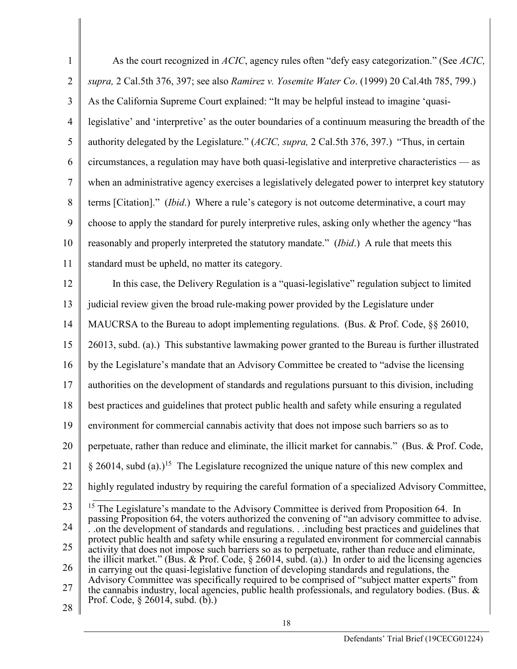| $\mathbf{1}$   | As the court recognized in ACIC, agency rules often "defy easy categorization." (See ACIC,                                                                                                              |
|----------------|---------------------------------------------------------------------------------------------------------------------------------------------------------------------------------------------------------|
| $\overline{2}$ | supra, 2 Cal.5th 376, 397; see also Ramirez v. Yosemite Water Co. (1999) 20 Cal.4th 785, 799.)                                                                                                          |
| 3              | As the California Supreme Court explained: "It may be helpful instead to imagine 'quasi-                                                                                                                |
| $\overline{4}$ | legislative' and 'interpretive' as the outer boundaries of a continuum measuring the breadth of the                                                                                                     |
| 5              | authority delegated by the Legislature." (ACIC, supra, 2 Cal.5th 376, 397.) "Thus, in certain                                                                                                           |
| 6              | circumstances, a regulation may have both quasi-legislative and interpretive characteristics — as                                                                                                       |
| $\tau$         | when an administrative agency exercises a legislatively delegated power to interpret key statutory                                                                                                      |
| 8              | terms [Citation]." ( <i>Ibid.</i> ) Where a rule's category is not outcome determinative, a court may                                                                                                   |
| 9              | choose to apply the standard for purely interpretive rules, asking only whether the agency "has                                                                                                         |
| 10             | reasonably and properly interpreted the statutory mandate." (Ibid.) A rule that meets this                                                                                                              |
| 11             | standard must be upheld, no matter its category.                                                                                                                                                        |
| 12             | In this case, the Delivery Regulation is a "quasi-legislative" regulation subject to limited                                                                                                            |
| 13             | judicial review given the broad rule-making power provided by the Legislature under                                                                                                                     |
| 14             | MAUCRSA to the Bureau to adopt implementing regulations. (Bus. & Prof. Code, §§ 26010,                                                                                                                  |
| 15             | 26013, subd. (a).) This substantive lawmaking power granted to the Bureau is further illustrated                                                                                                        |
| 16             | by the Legislature's mandate that an Advisory Committee be created to "advise the licensing                                                                                                             |
| 17             | authorities on the development of standards and regulations pursuant to this division, including                                                                                                        |
| 18             | best practices and guidelines that protect public health and safety while ensuring a regulated                                                                                                          |
| 19             | environment for commercial cannabis activity that does not impose such barriers so as to                                                                                                                |
| 20             | perpetuate, rather than reduce and eliminate, the illicit market for cannabis." (Bus. & Prof. Code,                                                                                                     |
| 21             | $\S$ 26014, subd (a).) <sup>15</sup> The Legislature recognized the unique nature of this new complex and                                                                                               |
| 22             | highly regulated industry by requiring the careful formation of a specialized Advisory Committee,                                                                                                       |
| 23             | <sup>15</sup> The Legislature's mandate to the Advisory Committee is derived from Proposition 64. In                                                                                                    |
| 24             | passing Proposition 64, the voters authorized the convening of "an advisory committee to advise.<br>. .on the development of standards and regulations.including best practices and guidelines that     |
| 25             | protect public health and safety while ensuring a regulated environment for commercial cannabis<br>activity that does not impose such barriers so as to perpetuate, rather than reduce and eliminate,   |
| 26             | the illicit market." (Bus. & Prof. Code, $\S 26014$ , subd. (a).) In order to aid the licensing agencies<br>in carrying out the quasi-legislative function of developing standards and regulations, the |
| 27             | Advisory Committee was specifically required to be comprised of "subject matter experts" from<br>the cannabis industry, local agencies, public health professionals, and regulatory bodies. (Bus. &     |
| 28             | Prof. Code, $\S 26014$ , subd. (b).)                                                                                                                                                                    |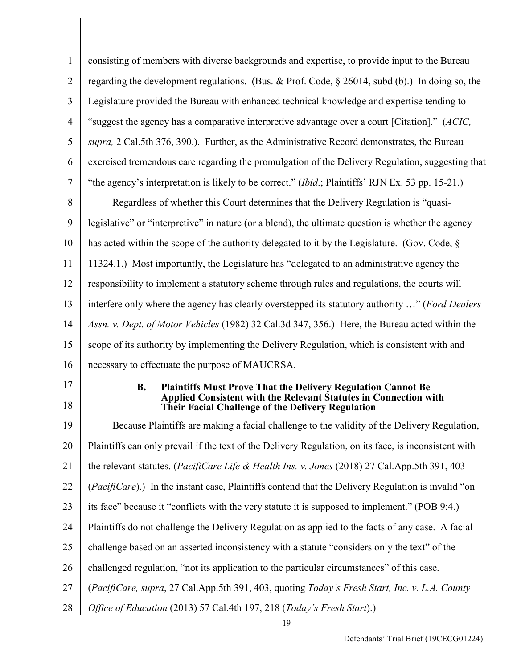| 1              | consisting of members with diverse backgrounds and expertise, to provide input to the Bureau                                                                                                                            |  |  |
|----------------|-------------------------------------------------------------------------------------------------------------------------------------------------------------------------------------------------------------------------|--|--|
| $\overline{2}$ | regarding the development regulations. (Bus. & Prof. Code, $\S 26014$ , subd (b).) In doing so, the                                                                                                                     |  |  |
| 3              | Legislature provided the Bureau with enhanced technical knowledge and expertise tending to                                                                                                                              |  |  |
| 4              | "suggest the agency has a comparative interpretive advantage over a court [Citation]." (ACIC,                                                                                                                           |  |  |
| 5              | supra, 2 Cal.5th 376, 390.). Further, as the Administrative Record demonstrates, the Bureau                                                                                                                             |  |  |
| 6              | exercised tremendous care regarding the promulgation of the Delivery Regulation, suggesting that                                                                                                                        |  |  |
| 7              | "the agency's interpretation is likely to be correct." ( <i>Ibid</i> .; Plaintiffs' RJN Ex. 53 pp. 15-21.)                                                                                                              |  |  |
| 8              | Regardless of whether this Court determines that the Delivery Regulation is "quasi-                                                                                                                                     |  |  |
| 9              | legislative" or "interpretive" in nature (or a blend), the ultimate question is whether the agency                                                                                                                      |  |  |
| 10             | has acted within the scope of the authority delegated to it by the Legislature. (Gov. Code, §                                                                                                                           |  |  |
| 11             | 11324.1.) Most importantly, the Legislature has "delegated to an administrative agency the                                                                                                                              |  |  |
| 12             | responsibility to implement a statutory scheme through rules and regulations, the courts will                                                                                                                           |  |  |
| 13             | interfere only where the agency has clearly overstepped its statutory authority " (Ford Dealers                                                                                                                         |  |  |
| 14             | Assn. v. Dept. of Motor Vehicles (1982) 32 Cal.3d 347, 356.) Here, the Bureau acted within the                                                                                                                          |  |  |
| 15             | scope of its authority by implementing the Delivery Regulation, which is consistent with and                                                                                                                            |  |  |
| 16             | necessary to effectuate the purpose of MAUCRSA.                                                                                                                                                                         |  |  |
| 17<br>18       | <b>B.</b><br><b>Plaintiffs Must Prove That the Delivery Regulation Cannot Be</b><br><b>Applied Consistent with the Relevant Statutes in Connection with</b><br><b>Their Facial Challenge of the Delivery Regulation</b> |  |  |
| 19             | Because Plaintiffs are making a facial challenge to the validity of the Delivery Regulation,                                                                                                                            |  |  |
| 20             | Plaintiffs can only prevail if the text of the Delivery Regulation, on its face, is inconsistent with                                                                                                                   |  |  |
| 21             | the relevant statutes. (PacifiCare Life & Health Ins. v. Jones (2018) 27 Cal.App.5th 391, 403                                                                                                                           |  |  |
| 22             | (PacifiCare).) In the instant case, Plaintiffs contend that the Delivery Regulation is invalid "on                                                                                                                      |  |  |
| 23             | its face" because it "conflicts with the very statute it is supposed to implement." (POB 9:4.)                                                                                                                          |  |  |
| 24             | Plaintiffs do not challenge the Delivery Regulation as applied to the facts of any case. A facial                                                                                                                       |  |  |
| 25             | challenge based on an asserted inconsistency with a statute "considers only the text" of the                                                                                                                            |  |  |
| 26             | challenged regulation, "not its application to the particular circumstances" of this case.                                                                                                                              |  |  |
| 27             | (PacifiCare, supra, 27 Cal.App.5th 391, 403, quoting Today's Fresh Start, Inc. v. L.A. County                                                                                                                           |  |  |
| 28             | Office of Education (2013) 57 Cal.4th 197, 218 (Today's Fresh Start).)                                                                                                                                                  |  |  |
|                | 19                                                                                                                                                                                                                      |  |  |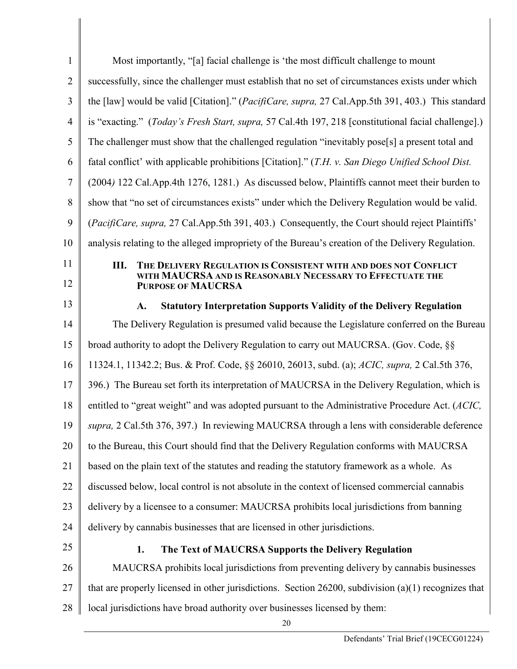| $\mathbf{1}$   | Most importantly, "[a] facial challenge is 'the most difficult challenge to mount                      |  |  |
|----------------|--------------------------------------------------------------------------------------------------------|--|--|
| $\overline{2}$ | successfully, since the challenger must establish that no set of circumstances exists under which      |  |  |
| 3              | the [law] would be valid [Citation]." (PacifiCare, supra, 27 Cal.App.5th 391, 403.) This standard      |  |  |
| $\overline{4}$ | is "exacting." (Today's Fresh Start, supra, 57 Cal.4th 197, 218 [constitutional facial challenge].)    |  |  |
| 5              | The challenger must show that the challenged regulation "inevitably pose[s] a present total and        |  |  |
| 6              | fatal conflict' with applicable prohibitions [Citation]." (T.H. v. San Diego Unified School Dist.      |  |  |
| 7              | (2004) 122 Cal.App.4th 1276, 1281.) As discussed below, Plaintiffs cannot meet their burden to         |  |  |
| 8              | show that "no set of circumstances exists" under which the Delivery Regulation would be valid.         |  |  |
| 9              | (PacifiCare, supra, 27 Cal.App.5th 391, 403.) Consequently, the Court should reject Plaintiffs'        |  |  |
| 10             | analysis relating to the alleged impropriety of the Bureau's creation of the Delivery Regulation.      |  |  |
| 11             | Ш.<br>THE DELIVERY REGULATION IS CONSISTENT WITH AND DOES NOT CONFLICT                                 |  |  |
| 12             | WITH MAUCRSA AND IS REASONABLY NECESSARY TO EFFECTUATE THE<br><b>PURPOSE OF MAUCRSA</b>                |  |  |
| 13             | <b>Statutory Interpretation Supports Validity of the Delivery Regulation</b><br>A.                     |  |  |
| 14             | The Delivery Regulation is presumed valid because the Legislature conferred on the Bureau              |  |  |
| 15             | broad authority to adopt the Delivery Regulation to carry out MAUCRSA. (Gov. Code, §§                  |  |  |
| 16             | 11324.1, 11342.2; Bus. & Prof. Code, §§ 26010, 26013, subd. (a); ACIC, supra, 2 Cal.5th 376,           |  |  |
| 17             | 396.) The Bureau set forth its interpretation of MAUCRSA in the Delivery Regulation, which is          |  |  |
| 18             | entitled to "great weight" and was adopted pursuant to the Administrative Procedure Act. (ACIC,        |  |  |
| 19             | supra, 2 Cal.5th 376, 397.) In reviewing MAUCRSA through a lens with considerable deference            |  |  |
| 20             | to the Bureau, this Court should find that the Delivery Regulation conforms with MAUCRSA               |  |  |
| 21             | based on the plain text of the statutes and reading the statutory framework as a whole. As             |  |  |
| 22             | discussed below, local control is not absolute in the context of licensed commercial cannabis          |  |  |
| 23             | delivery by a licensee to a consumer: MAUCRSA prohibits local jurisdictions from banning               |  |  |
| 24             | delivery by cannabis businesses that are licensed in other jurisdictions.                              |  |  |
| 25             | 1.<br>The Text of MAUCRSA Supports the Delivery Regulation                                             |  |  |
| 26             | MAUCRSA prohibits local jurisdictions from preventing delivery by cannabis businesses                  |  |  |
| 27             | that are properly licensed in other jurisdictions. Section 26200, subdivision $(a)(1)$ recognizes that |  |  |
| 28             | local jurisdictions have broad authority over businesses licensed by them:                             |  |  |
|                | 20                                                                                                     |  |  |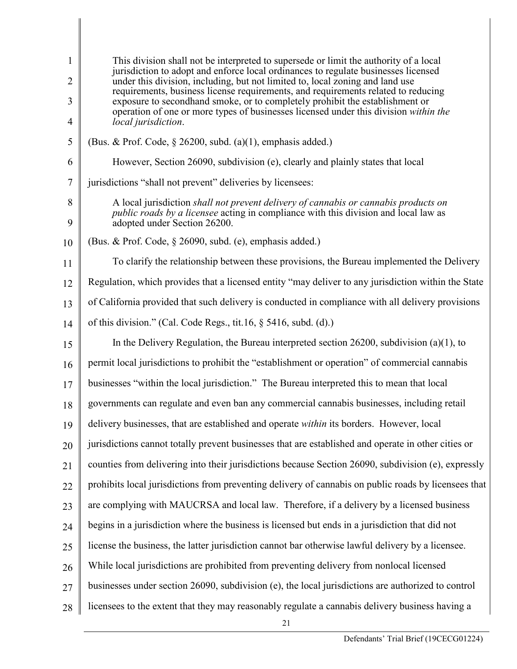| 1<br>2 | This division shall not be interpreted to supersede or limit the authority of a local<br>jurisdiction to adopt and enforce local ordinances to regulate businesses licensed<br>under this division, including, but not limited to, local zoning and land use |
|--------|--------------------------------------------------------------------------------------------------------------------------------------------------------------------------------------------------------------------------------------------------------------|
|        | requirements, business license requirements, and requirements related to reducing                                                                                                                                                                            |
| 3<br>4 | exposure to secondhand smoke, or to completely prohibit the establishment or<br>operation of one or more types of businesses licensed under this division within the<br>local jurisdiction.                                                                  |
| 5      | (Bus. & Prof. Code, $\S$ 26200, subd. (a)(1), emphasis added.)                                                                                                                                                                                               |
| 6      | However, Section 26090, subdivision (e), clearly and plainly states that local                                                                                                                                                                               |
| 7      | jurisdictions "shall not prevent" deliveries by licensees:                                                                                                                                                                                                   |
| 8<br>9 | A local jurisdiction shall not prevent delivery of cannabis or cannabis products on<br><i>public roads by a licensee</i> acting in compliance with this division and local law as<br>adopted under Section 26200.                                            |
| 10     | (Bus. & Prof. Code, $\S$ 26090, subd. (e), emphasis added.)                                                                                                                                                                                                  |
| 11     | To clarify the relationship between these provisions, the Bureau implemented the Delivery                                                                                                                                                                    |
| 12     | Regulation, which provides that a licensed entity "may deliver to any jurisdiction within the State                                                                                                                                                          |
| 13     | of California provided that such delivery is conducted in compliance with all delivery provisions                                                                                                                                                            |
| 14     | of this division." (Cal. Code Regs., tit.16, $\S$ 5416, subd. (d).)                                                                                                                                                                                          |
| 15     | In the Delivery Regulation, the Bureau interpreted section 26200, subdivision (a)(1), to                                                                                                                                                                     |
| 16     | permit local jurisdictions to prohibit the "establishment or operation" of commercial cannabis                                                                                                                                                               |
| 17     | businesses "within the local jurisdiction." The Bureau interpreted this to mean that local                                                                                                                                                                   |
| 18     | governments can regulate and even ban any commercial cannabis businesses, including retail                                                                                                                                                                   |
|        | 19   delivery businesses, that are established and operate within its borders. However, local                                                                                                                                                                |
| 20     | jurisdictions cannot totally prevent businesses that are established and operate in other cities or                                                                                                                                                          |
| 21     | counties from delivering into their jurisdictions because Section 26090, subdivision (e), expressly                                                                                                                                                          |
| 22     | prohibits local jurisdictions from preventing delivery of cannabis on public roads by licensees that                                                                                                                                                         |
| 23     | are complying with MAUCRSA and local law. Therefore, if a delivery by a licensed business                                                                                                                                                                    |
| 24     | begins in a jurisdiction where the business is licensed but ends in a jurisdiction that did not                                                                                                                                                              |
| 25     | license the business, the latter jurisdiction cannot bar otherwise lawful delivery by a licensee.                                                                                                                                                            |
| 26     | While local jurisdictions are prohibited from preventing delivery from nonlocal licensed                                                                                                                                                                     |
| 27     | businesses under section 26090, subdivision (e), the local jurisdictions are authorized to control                                                                                                                                                           |
| 28     | licensees to the extent that they may reasonably regulate a cannabis delivery business having a                                                                                                                                                              |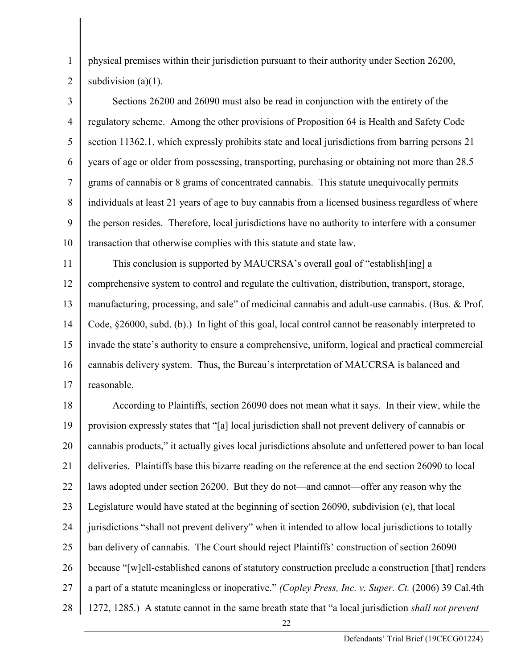physical premises within their jurisdiction pursuant to their authority under Section 26200, subdivision (a)(1).

1

2

3 4 5 6 7 8 9 10 Sections 26200 and 26090 must also be read in conjunction with the entirety of the regulatory scheme. Among the other provisions of Proposition 64 is Health and Safety Code section 11362.1, which expressly prohibits state and local jurisdictions from barring persons 21 years of age or older from possessing, transporting, purchasing or obtaining not more than 28.5 grams of cannabis or 8 grams of concentrated cannabis. This statute unequivocally permits individuals at least 21 years of age to buy cannabis from a licensed business regardless of where the person resides. Therefore, local jurisdictions have no authority to interfere with a consumer transaction that otherwise complies with this statute and state law.

11 12 13 14 15 16 17 This conclusion is supported by MAUCRSA's overall goal of "establish[ing] a comprehensive system to control and regulate the cultivation, distribution, transport, storage, manufacturing, processing, and sale" of medicinal cannabis and adult-use cannabis. (Bus. & Prof. Code, §26000, subd. (b).) In light of this goal, local control cannot be reasonably interpreted to invade the state's authority to ensure a comprehensive, uniform, logical and practical commercial cannabis delivery system. Thus, the Bureau's interpretation of MAUCRSA is balanced and reasonable.

18 19 20 21 22 23 24 25 26 27 28 According to Plaintiffs, section 26090 does not mean what it says. In their view, while the provision expressly states that "[a] local jurisdiction shall not prevent delivery of cannabis or cannabis products," it actually gives local jurisdictions absolute and unfettered power to ban local deliveries. Plaintiffs base this bizarre reading on the reference at the end section 26090 to local laws adopted under section 26200. But they do not—and cannot—offer any reason why the Legislature would have stated at the beginning of section 26090, subdivision (e), that local jurisdictions "shall not prevent delivery" when it intended to allow local jurisdictions to totally ban delivery of cannabis. The Court should reject Plaintiffs' construction of section 26090 because "[w]ell-established canons of statutory construction preclude a construction [that] renders a part of a statute meaningless or inoperative." *(Copley Press, Inc. v. Super. Ct.* (2006) 39 Cal.4th 1272, 1285.) A statute cannot in the same breath state that "a local jurisdiction *shall not prevent*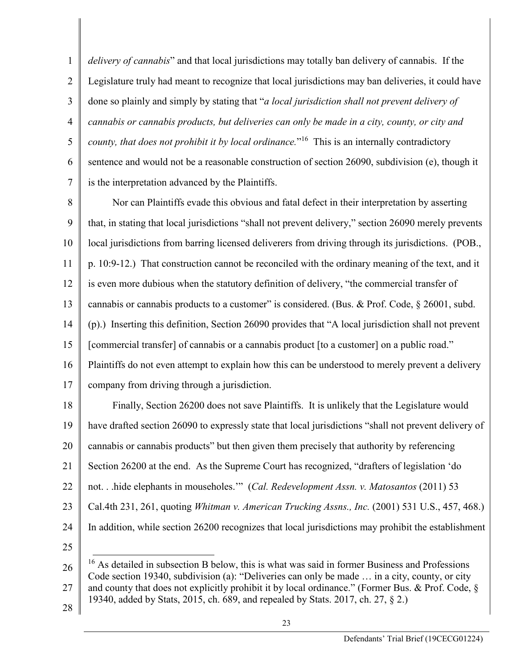1 2 3 4 5 6 7 *delivery of cannabis*" and that local jurisdictions may totally ban delivery of cannabis. If the Legislature truly had meant to recognize that local jurisdictions may ban deliveries, it could have done so plainly and simply by stating that "*a local jurisdiction shall not prevent delivery of cannabis or cannabis products, but deliveries can only be made in a city, county, or city and county, that does not prohibit it by local ordinance.*"<sup>16</sup> This is an internally contradictory sentence and would not be a reasonable construction of section 26090, subdivision (e), though it is the interpretation advanced by the Plaintiffs.

8 9 10 11 12 13 14 15 16 17 Nor can Plaintiffs evade this obvious and fatal defect in their interpretation by asserting that, in stating that local jurisdictions "shall not prevent delivery," section 26090 merely prevents local jurisdictions from barring licensed deliverers from driving through its jurisdictions. (POB., p. 10:9-12.) That construction cannot be reconciled with the ordinary meaning of the text, and it is even more dubious when the statutory definition of delivery, "the commercial transfer of cannabis or cannabis products to a customer" is considered. (Bus. & Prof. Code, § 26001, subd. (p).) Inserting this definition, Section 26090 provides that "A local jurisdiction shall not prevent [commercial transfer] of cannabis or a cannabis product [to a customer] on a public road." Plaintiffs do not even attempt to explain how this can be understood to merely prevent a delivery company from driving through a jurisdiction.

18 19 20 21 22 23 24 25 Finally, Section 26200 does not save Plaintiffs. It is unlikely that the Legislature would have drafted section 26090 to expressly state that local jurisdictions "shall not prevent delivery of cannabis or cannabis products" but then given them precisely that authority by referencing Section 26200 at the end. As the Supreme Court has recognized, "drafters of legislation 'do not. . .hide elephants in mouseholes.'" (*Cal. Redevelopment Assn. v. Matosantos* (2011) 53 Cal.4th 231, 261, quoting *Whitman v. American Trucking Assns., Inc.* (2001) 531 U.S., 457, 468.) In addition, while section 26200 recognizes that local jurisdictions may prohibit the establishment

26 27 28 <sup>16</sup> As detailed in subsection B below, this is what was said in former Business and Professions Code section 19340, subdivision (a): "Deliveries can only be made … in a city, county, or city and county that does not explicitly prohibit it by local ordinance." (Former Bus. & Prof. Code, § 19340, added by Stats, 2015, ch. 689, and repealed by Stats. 2017, ch. 27, § 2.)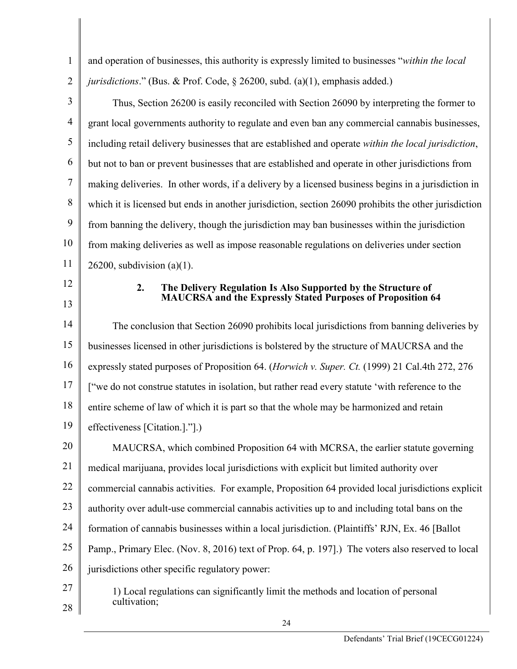| $\mathbf{1}$   | and operation of businesses, this authority is expressly limited to businesses "within the local      |  |  |
|----------------|-------------------------------------------------------------------------------------------------------|--|--|
| $\overline{2}$ | jurisdictions." (Bus. & Prof. Code, § 26200, subd. (a)(1), emphasis added.)                           |  |  |
| 3              | Thus, Section 26200 is easily reconciled with Section 26090 by interpreting the former to             |  |  |
| $\overline{4}$ | grant local governments authority to regulate and even ban any commercial cannabis businesses,        |  |  |
| 5              | including retail delivery businesses that are established and operate within the local jurisdiction,  |  |  |
| 6              | but not to ban or prevent businesses that are established and operate in other jurisdictions from     |  |  |
| $\tau$         | making deliveries. In other words, if a delivery by a licensed business begins in a jurisdiction in   |  |  |
| 8              | which it is licensed but ends in another jurisdiction, section 26090 prohibits the other jurisdiction |  |  |
| 9              | from banning the delivery, though the jurisdiction may ban businesses within the jurisdiction         |  |  |
| 10             | from making deliveries as well as impose reasonable regulations on deliveries under section           |  |  |
| 11             | 26200, subdivision (a) $(1)$ .                                                                        |  |  |
| 12             | The Delivery Regulation Is Also Supported by the Structure of<br>2.                                   |  |  |
| 13             | <b>MAUCRSA</b> and the Expressly Stated Purposes of Proposition 64                                    |  |  |
| 14             | The conclusion that Section 26090 prohibits local jurisdictions from banning deliveries by            |  |  |
| 15             | businesses licensed in other jurisdictions is bolstered by the structure of MAUCRSA and the           |  |  |
| 16             | expressly stated purposes of Proposition 64. (Horwich v. Super. Ct. (1999) 21 Cal.4th 272, 276        |  |  |
| 17             | ["we do not construe statutes in isolation, but rather read every statute 'with reference to the      |  |  |
| 18             | entire scheme of law of which it is part so that the whole may be harmonized and retain               |  |  |
| 19             | effectiveness [Citation.]."].)                                                                        |  |  |
| 20             | MAUCRSA, which combined Proposition 64 with MCRSA, the earlier statute governing                      |  |  |
| 21             | medical marijuana, provides local jurisdictions with explicit but limited authority over              |  |  |
| 22             | commercial cannabis activities. For example, Proposition 64 provided local jurisdictions explicit     |  |  |
| 23             | authority over adult-use commercial cannabis activities up to and including total bans on the         |  |  |
| 24             | formation of cannabis businesses within a local jurisdiction. (Plaintiffs' RJN, Ex. 46 [Ballot]       |  |  |
| 25             | Pamp., Primary Elec. (Nov. 8, 2016) text of Prop. 64, p. 197].) The voters also reserved to local     |  |  |
| 26             | jurisdictions other specific regulatory power:                                                        |  |  |
| 27             | 1) Local regulations can significantly limit the methods and location of personal<br>cultivation;     |  |  |
| 28             |                                                                                                       |  |  |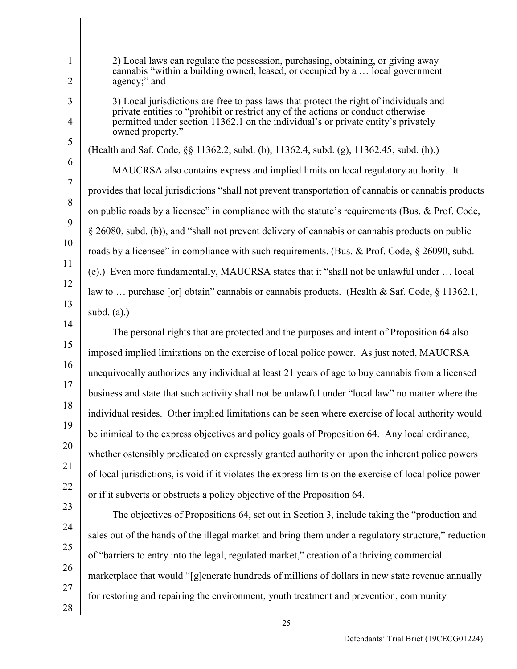| $\mathbf 1$<br>2    | 2) Local laws can regulate the possession, purchasing, obtaining, or giving away<br>cannabis "within a building owned, leased, or occupied by a  local government<br>agency;" and                                                                                                    |
|---------------------|--------------------------------------------------------------------------------------------------------------------------------------------------------------------------------------------------------------------------------------------------------------------------------------|
| 3<br>$\overline{4}$ | 3) Local jurisdictions are free to pass laws that protect the right of individuals and<br>private entities to "prohibit or restrict any of the actions or conduct otherwise<br>permitted under section 11362.1 on the individual's or private entity's privately<br>owned property." |
| 5                   | (Health and Saf. Code, §§ 11362.2, subd. (b), 11362.4, subd. (g), 11362.45, subd. (h).)                                                                                                                                                                                              |
| 6                   | MAUCRSA also contains express and implied limits on local regulatory authority. It                                                                                                                                                                                                   |
| 7                   | provides that local jurisdictions "shall not prevent transportation of cannabis or cannabis products                                                                                                                                                                                 |
| 8                   | on public roads by a licensee" in compliance with the statute's requirements (Bus. & Prof. Code,                                                                                                                                                                                     |
| 9                   | § 26080, subd. (b)), and "shall not prevent delivery of cannabis or cannabis products on public                                                                                                                                                                                      |
| 10                  | roads by a licensee" in compliance with such requirements. (Bus. & Prof. Code, § 26090, subd.                                                                                                                                                                                        |
| 11                  | (e).) Even more fundamentally, MAUCRSA states that it "shall not be unlawful under  local                                                                                                                                                                                            |
| 12                  | law to  purchase [or] obtain" cannabis or cannabis products. (Health & Saf. Code, § 11362.1,                                                                                                                                                                                         |
| 13                  | subd. $(a)$ .)                                                                                                                                                                                                                                                                       |
| 14                  | The personal rights that are protected and the purposes and intent of Proposition 64 also                                                                                                                                                                                            |
| 15                  | imposed implied limitations on the exercise of local police power. As just noted, MAUCRSA                                                                                                                                                                                            |
| 16                  | unequivocally authorizes any individual at least 21 years of age to buy cannabis from a licensed                                                                                                                                                                                     |
| 17                  | business and state that such activity shall not be unlawful under "local law" no matter where the                                                                                                                                                                                    |
| 18                  | individual resides. Other implied limitations can be seen where exercise of local authority would                                                                                                                                                                                    |
| 19                  | be inimical to the express objectives and policy goals of Proposition 64. Any local ordinance,                                                                                                                                                                                       |
| 20                  | whether ostensibly predicated on expressly granted authority or upon the inherent police powers                                                                                                                                                                                      |
| 21                  | of local jurisdictions, is void if it violates the express limits on the exercise of local police power                                                                                                                                                                              |
| 22                  | or if it subverts or obstructs a policy objective of the Proposition 64.                                                                                                                                                                                                             |
| 23                  | The objectives of Propositions 64, set out in Section 3, include taking the "production and                                                                                                                                                                                          |
| 24                  | sales out of the hands of the illegal market and bring them under a regulatory structure," reduction                                                                                                                                                                                 |
| 25                  | of "barriers to entry into the legal, regulated market," creation of a thriving commercial                                                                                                                                                                                           |
| 26                  | marketplace that would "[g]enerate hundreds of millions of dollars in new state revenue annually                                                                                                                                                                                     |
| 27                  | for restoring and repairing the environment, youth treatment and prevention, community                                                                                                                                                                                               |
| 28                  |                                                                                                                                                                                                                                                                                      |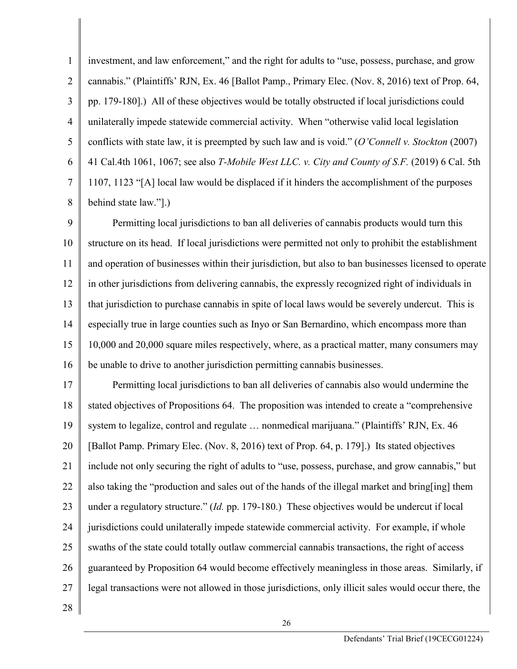1 2 3 4 5 6 7 8 investment, and law enforcement," and the right for adults to "use, possess, purchase, and grow cannabis." (Plaintiffs' RJN, Ex. 46 [Ballot Pamp., Primary Elec. (Nov. 8, 2016) text of Prop. 64, pp. 179-180].) All of these objectives would be totally obstructed if local jurisdictions could unilaterally impede statewide commercial activity. When "otherwise valid local legislation conflicts with state law, it is preempted by such law and is void." (*O'Connell v. Stockton* (2007) 41 Cal.4th 1061, 1067; see also *T-Mobile West LLC. v. City and County of S.F.* (2019) 6 Cal. 5th 1107, 1123 "[A] local law would be displaced if it hinders the accomplishment of the purposes behind state law."].)

9 10 11 12 13 14 15 16 Permitting local jurisdictions to ban all deliveries of cannabis products would turn this structure on its head. If local jurisdictions were permitted not only to prohibit the establishment and operation of businesses within their jurisdiction, but also to ban businesses licensed to operate in other jurisdictions from delivering cannabis, the expressly recognized right of individuals in that jurisdiction to purchase cannabis in spite of local laws would be severely undercut. This is especially true in large counties such as Inyo or San Bernardino, which encompass more than 10,000 and 20,000 square miles respectively, where, as a practical matter, many consumers may be unable to drive to another jurisdiction permitting cannabis businesses.

17 18 19 20 21 22 23 24 25 26 27 Permitting local jurisdictions to ban all deliveries of cannabis also would undermine the stated objectives of Propositions 64. The proposition was intended to create a "comprehensive system to legalize, control and regulate … nonmedical marijuana." (Plaintiffs' RJN, Ex. 46 [Ballot Pamp. Primary Elec. (Nov. 8, 2016) text of Prop. 64, p. 179].) Its stated objectives include not only securing the right of adults to "use, possess, purchase, and grow cannabis," but also taking the "production and sales out of the hands of the illegal market and bring[ing] them under a regulatory structure." (*Id.* pp. 179-180.) These objectives would be undercut if local jurisdictions could unilaterally impede statewide commercial activity. For example, if whole swaths of the state could totally outlaw commercial cannabis transactions, the right of access guaranteed by Proposition 64 would become effectively meaningless in those areas. Similarly, if legal transactions were not allowed in those jurisdictions, only illicit sales would occur there, the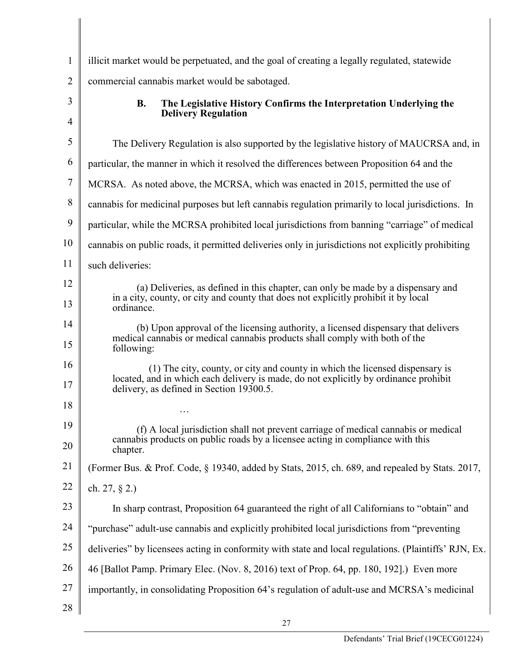| $\mathbf{1}$ | illicit market would be perpetuated, and the goal of creating a legally regulated, statewide                                                                                                                     |  |
|--------------|------------------------------------------------------------------------------------------------------------------------------------------------------------------------------------------------------------------|--|
| 2            | commercial cannabis market would be sabotaged.                                                                                                                                                                   |  |
| 3            | <b>B.</b><br>The Legislative History Confirms the Interpretation Underlying the                                                                                                                                  |  |
| 4            | <b>Delivery Regulation</b>                                                                                                                                                                                       |  |
| 5            | The Delivery Regulation is also supported by the legislative history of MAUCRSA and, in                                                                                                                          |  |
| 6            | particular, the manner in which it resolved the differences between Proposition 64 and the                                                                                                                       |  |
| 7            | MCRSA. As noted above, the MCRSA, which was enacted in 2015, permitted the use of                                                                                                                                |  |
| 8            | cannabis for medicinal purposes but left cannabis regulation primarily to local jurisdictions. In                                                                                                                |  |
| 9            | particular, while the MCRSA prohibited local jurisdictions from banning "carriage" of medical                                                                                                                    |  |
| 10           | cannabis on public roads, it permitted deliveries only in jurisdictions not explicitly prohibiting                                                                                                               |  |
| 11           | such deliveries:                                                                                                                                                                                                 |  |
| 12           | (a) Deliveries, as defined in this chapter, can only be made by a dispensary and                                                                                                                                 |  |
| 13           | in a city, county, or city and county that does not explicitly prohibit it by local<br>ordinance.                                                                                                                |  |
| 14           | (b) Upon approval of the licensing authority, a licensed dispensary that delivers<br>medical cannabis or medical cannabis products shall comply with both of the                                                 |  |
| 15           | following:                                                                                                                                                                                                       |  |
| 16<br>17     | (1) The city, county, or city and county in which the licensed dispensary is<br>located, and in which each delivery is made, do not explicitly by ordinance prohibit<br>delivery, as defined in Section 19300.5. |  |
| 18           |                                                                                                                                                                                                                  |  |
| 19           | (f) A local jurisdiction shall not prevent carriage of medical cannabis or medical                                                                                                                               |  |
| 20           | cannabis products on public roads by a licensee acting in compliance with this<br>chapter.                                                                                                                       |  |
| 21           | (Former Bus. & Prof. Code, § 19340, added by Stats, 2015, ch. 689, and repealed by Stats. 2017,                                                                                                                  |  |
| 22           | ch. 27, $\S$ 2.)                                                                                                                                                                                                 |  |
| 23           | In sharp contrast, Proposition 64 guaranteed the right of all Californians to "obtain" and                                                                                                                       |  |
| 24           | "purchase" adult-use cannabis and explicitly prohibited local jurisdictions from "preventing"                                                                                                                    |  |
| 25           | deliveries" by licensees acting in conformity with state and local regulations. (Plaintiffs' RJN, Ex.                                                                                                            |  |
| 26           | 46 [Ballot Pamp. Primary Elec. (Nov. 8, 2016) text of Prop. 64, pp. 180, 192].) Even more                                                                                                                        |  |
| 27           | importantly, in consolidating Proposition 64's regulation of adult-use and MCRSA's medicinal                                                                                                                     |  |
| 28           |                                                                                                                                                                                                                  |  |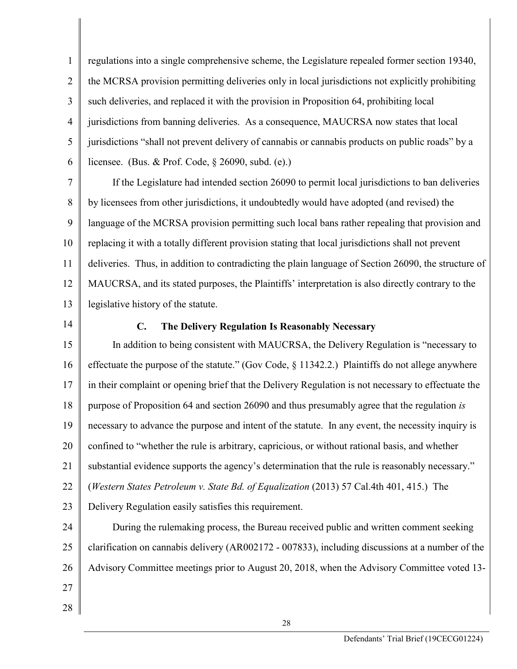1 2 3 4 5 6 regulations into a single comprehensive scheme, the Legislature repealed former section 19340, the MCRSA provision permitting deliveries only in local jurisdictions not explicitly prohibiting such deliveries, and replaced it with the provision in Proposition 64, prohibiting local jurisdictions from banning deliveries. As a consequence, MAUCRSA now states that local jurisdictions "shall not prevent delivery of cannabis or cannabis products on public roads" by a licensee. (Bus. & Prof. Code, § 26090, subd. (e).)

7 8 9 10 11 12 13 If the Legislature had intended section 26090 to permit local jurisdictions to ban deliveries by licensees from other jurisdictions, it undoubtedly would have adopted (and revised) the language of the MCRSA provision permitting such local bans rather repealing that provision and replacing it with a totally different provision stating that local jurisdictions shall not prevent deliveries. Thus, in addition to contradicting the plain language of Section 26090, the structure of MAUCRSA, and its stated purposes, the Plaintiffs' interpretation is also directly contrary to the legislative history of the statute.

14

### **C. The Delivery Regulation Is Reasonably Necessary**

15 16 17 18 19 20 21 22 23 In addition to being consistent with MAUCRSA, the Delivery Regulation is "necessary to effectuate the purpose of the statute." (Gov Code, § 11342.2.) Plaintiffs do not allege anywhere in their complaint or opening brief that the Delivery Regulation is not necessary to effectuate the purpose of Proposition 64 and section 26090 and thus presumably agree that the regulation *is*  necessary to advance the purpose and intent of the statute. In any event, the necessity inquiry is confined to "whether the rule is arbitrary, capricious, or without rational basis, and whether substantial evidence supports the agency's determination that the rule is reasonably necessary." (*Western States Petroleum v. State Bd. of Equalization* (2013) 57 Cal.4th 401, 415.) The Delivery Regulation easily satisfies this requirement.

24 25 26 27 During the rulemaking process, the Bureau received public and written comment seeking clarification on cannabis delivery (AR002172 - 007833), including discussions at a number of the Advisory Committee meetings prior to August 20, 2018, when the Advisory Committee voted 13-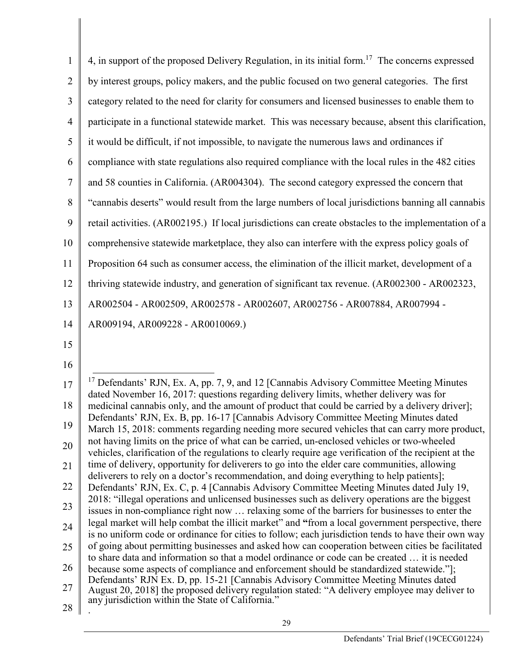| $\mathbf{1}$                                                   | 4, in support of the proposed Delivery Regulation, in its initial form. <sup>17</sup> The concerns expressed                                                                                                                              |
|----------------------------------------------------------------|-------------------------------------------------------------------------------------------------------------------------------------------------------------------------------------------------------------------------------------------|
| $\overline{2}$                                                 | by interest groups, policy makers, and the public focused on two general categories. The first                                                                                                                                            |
| 3                                                              | category related to the need for clarity for consumers and licensed businesses to enable them to                                                                                                                                          |
| $\overline{4}$                                                 | participate in a functional statewide market. This was necessary because, absent this clarification,                                                                                                                                      |
| 5                                                              | it would be difficult, if not impossible, to navigate the numerous laws and ordinances if                                                                                                                                                 |
| 6                                                              | compliance with state regulations also required compliance with the local rules in the 482 cities                                                                                                                                         |
| $\tau$                                                         | and 58 counties in California. (AR004304). The second category expressed the concern that                                                                                                                                                 |
| 8                                                              | "cannabis deserts" would result from the large numbers of local jurisdictions banning all cannabis                                                                                                                                        |
| 9                                                              | retail activities. (AR002195.) If local jurisdictions can create obstacles to the implementation of a                                                                                                                                     |
| 10                                                             | comprehensive statewide marketplace, they also can interfere with the express policy goals of                                                                                                                                             |
| 11                                                             | Proposition 64 such as consumer access, the elimination of the illicit market, development of a                                                                                                                                           |
| 12                                                             | thriving statewide industry, and generation of significant tax revenue. (AR002300 - AR002323,                                                                                                                                             |
| 13                                                             | AR002504 - AR002509, AR002578 - AR002607, AR002756 - AR007884, AR007994 -                                                                                                                                                                 |
| 14                                                             | AR009194, AR009228 - AR0010069.)                                                                                                                                                                                                          |
|                                                                |                                                                                                                                                                                                                                           |
|                                                                |                                                                                                                                                                                                                                           |
|                                                                |                                                                                                                                                                                                                                           |
|                                                                | <sup>17</sup> Defendants' RJN, Ex. A, pp. 7, 9, and 12 [Cannabis Advisory Committee Meeting Minutes                                                                                                                                       |
|                                                                | dated November 16, 2017: questions regarding delivery limits, whether delivery was for<br>medicinal cannabis only, and the amount of product that could be carried by a delivery driver];                                                 |
|                                                                | Defendants' RJN, Ex. B, pp. 16-17 [Cannabis Advisory Committee Meeting Minutes dated<br>March 15, 2018: comments regarding needing more secured vehicles that can carry more product,                                                     |
|                                                                | not having limits on the price of what can be carried, un-enclosed vehicles or two-wheeled                                                                                                                                                |
|                                                                | vehicles, clarification of the regulations to clearly require age verification of the recipient at the<br>time of delivery, opportunity for deliverers to go into the elder care communities, allowing                                    |
|                                                                | deliverers to rely on a doctor's recommendation, and doing everything to help patients];<br>Defendants' RJN, Ex. C, p. 4 [Cannabis Advisory Committee Meeting Minutes dated July 19,                                                      |
|                                                                | 2018: "illegal operations and unlicensed businesses such as delivery operations are the biggest                                                                                                                                           |
|                                                                | issues in non-compliance right now  relaxing some of the barriers for businesses to enter the<br>legal market will help combat the illicit market" and "from a local government perspective, there                                        |
| 15<br>16<br>17<br>18<br>19<br>20<br>21<br>22<br>23<br>24<br>25 | is no uniform code or ordinance for cities to follow; each jurisdiction tends to have their own way<br>of going about permitting businesses and asked how can cooperation between cities be facilitated                                   |
| 26                                                             | to share data and information so that a model ordinance or code can be created  it is needed<br>because some aspects of compliance and enforcement should be standardized statewide."];                                                   |
| 27                                                             | Defendants' RJN Ex. D, pp. 15-21 [Cannabis Advisory Committee Meeting Minutes dated<br>August 20, 2018] the proposed delivery regulation stated: "A delivery employee may deliver to<br>any jurisdiction within the State of California." |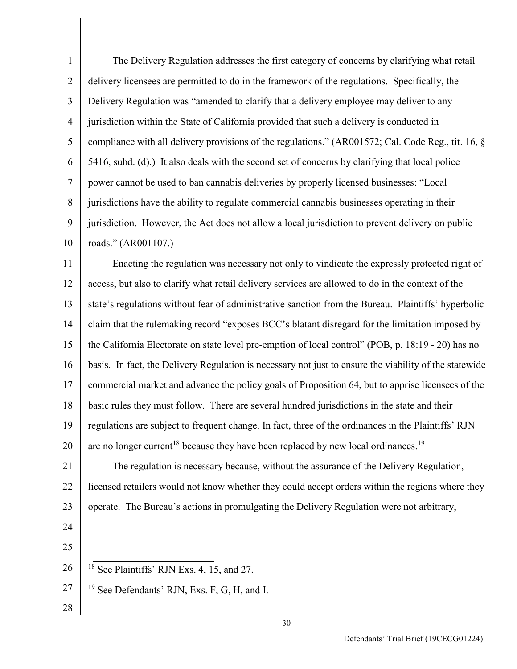1 2 3 4 5 6 7 8 9 10 The Delivery Regulation addresses the first category of concerns by clarifying what retail delivery licensees are permitted to do in the framework of the regulations. Specifically, the Delivery Regulation was "amended to clarify that a delivery employee may deliver to any jurisdiction within the State of California provided that such a delivery is conducted in compliance with all delivery provisions of the regulations." (AR001572; Cal. Code Reg., tit. 16, § 5416, subd. (d).) It also deals with the second set of concerns by clarifying that local police power cannot be used to ban cannabis deliveries by properly licensed businesses: "Local jurisdictions have the ability to regulate commercial cannabis businesses operating in their jurisdiction. However, the Act does not allow a local jurisdiction to prevent delivery on public roads." (AR001107.)

11 12 13 14 15 16 17 18 19 20 Enacting the regulation was necessary not only to vindicate the expressly protected right of access, but also to clarify what retail delivery services are allowed to do in the context of the state's regulations without fear of administrative sanction from the Bureau. Plaintiffs' hyperbolic claim that the rulemaking record "exposes BCC's blatant disregard for the limitation imposed by the California Electorate on state level pre-emption of local control" (POB, p. 18:19 - 20) has no basis. In fact, the Delivery Regulation is necessary not just to ensure the viability of the statewide commercial market and advance the policy goals of Proposition 64, but to apprise licensees of the basic rules they must follow. There are several hundred jurisdictions in the state and their regulations are subject to frequent change. In fact, three of the ordinances in the Plaintiffs' RJN are no longer current<sup>18</sup> because they have been replaced by new local ordinances.<sup>19</sup>

21 22 23 The regulation is necessary because, without the assurance of the Delivery Regulation, licensed retailers would not know whether they could accept orders within the regions where they operate. The Bureau's actions in promulgating the Delivery Regulation were not arbitrary,

25

- 26  $18$  See Plaintiffs' RJN Exs. 4, 15, and 27.
- 27 <sup>19</sup> See Defendants' RJN, Exs. F, G, H, and I.
- 28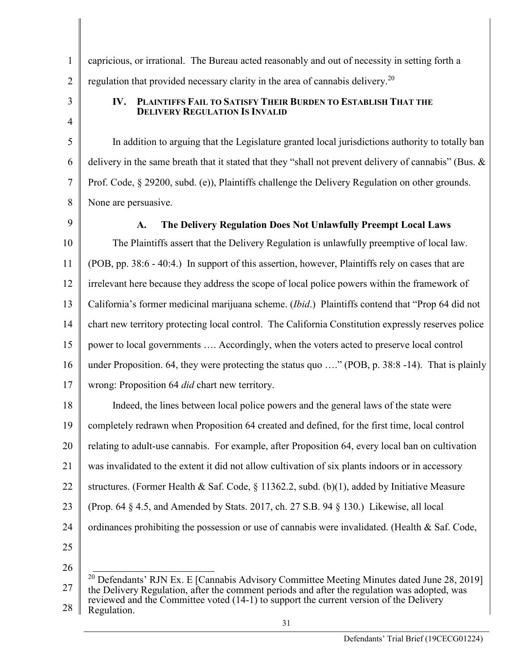5

6

7

1

capricious, or irrational. The Bureau acted reasonably and out of necessity in setting forth a regulation that provided necessary clarity in the area of cannabis delivery.<sup>20</sup>

**IV. PLAINTIFFS FAIL TO SATISFY THEIR BURDEN TO ESTABLISH THAT THE DELIVERY REGULATION IS INVALID** 

In addition to arguing that the Legislature granted local jurisdictions authority to totally ban delivery in the same breath that it stated that they "shall not prevent delivery of cannabis" (Bus. & Prof. Code, § 29200, subd. (e)), Plaintiffs challenge the Delivery Regulation on other grounds. None are persuasive.

8 9

# **A. The Delivery Regulation Does Not Unlawfully Preempt Local Laws**

10 11 12 13 14 15 16 17 The Plaintiffs assert that the Delivery Regulation is unlawfully preemptive of local law. (POB, pp. 38:6 - 40:4.) In support of this assertion, however, Plaintiffs rely on cases that are irrelevant here because they address the scope of local police powers within the framework of California's former medicinal marijuana scheme. (*Ibid*.) Plaintiffs contend that "Prop 64 did not chart new territory protecting local control. The California Constitution expressly reserves police power to local governments …. Accordingly, when the voters acted to preserve local control under Proposition. 64, they were protecting the status quo ...." (POB, p. 38:8 -14). That is plainly wrong: Proposition 64 *did* chart new territory.

18 19 20 21 22 23 24 25 Indeed, the lines between local police powers and the general laws of the state were completely redrawn when Proposition 64 created and defined, for the first time, local control relating to adult-use cannabis. For example, after Proposition 64, every local ban on cultivation was invalidated to the extent it did not allow cultivation of six plants indoors or in accessory structures. (Former Health & Saf. Code,  $\S 11362.2$ , subd. (b)(1), added by Initiative Measure (Prop. 64 § 4.5, and Amended by Stats. 2017, ch. 27 S.B. 94 § 130.) Likewise, all local ordinances prohibiting the possession or use of cannabis were invalidated. (Health  $\&$  Saf. Code,

<sup>27</sup> 28 <sup>20</sup> Defendants' RJN Ex. E [Cannabis Advisory Committee Meeting Minutes dated June 28, 2019] the Delivery Regulation, after the comment periods and after the regulation was adopted, was reviewed and the Committee voted (14-1) to support the current version of the Delivery Regulation.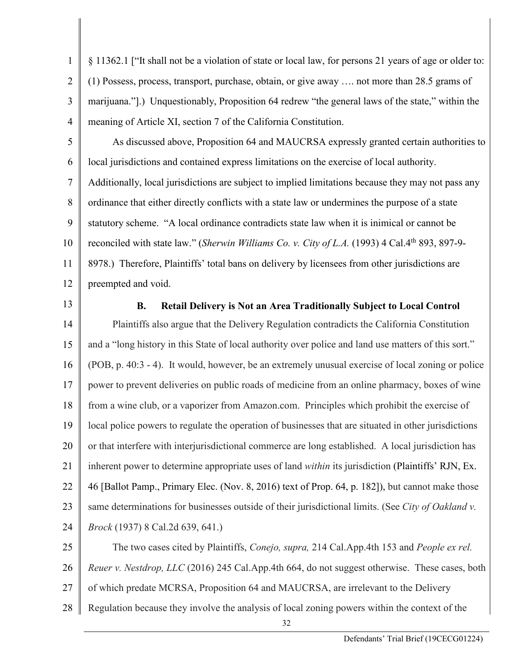4 § 11362.1 ["It shall not be a violation of state or local law, for persons 21 years of age or older to: (1) Possess, process, transport, purchase, obtain, or give away …. not more than 28.5 grams of marijuana."].) Unquestionably, Proposition 64 redrew "the general laws of the state," within the meaning of Article XI, section 7 of the California Constitution.

5 6 7 8 9 10 11 12 As discussed above, Proposition 64 and MAUCRSA expressly granted certain authorities to local jurisdictions and contained express limitations on the exercise of local authority. Additionally, local jurisdictions are subject to implied limitations because they may not pass any ordinance that either directly conflicts with a state law or undermines the purpose of a state statutory scheme. "A local ordinance contradicts state law when it is inimical or cannot be reconciled with state law." (*Sherwin Williams Co. v. City of L.A.* (1993) 4 Cal.4th 893, 897-9- 8978.) Therefore, Plaintiffs' total bans on delivery by licensees from other jurisdictions are preempted and void.

13

1

2

3

# **B. Retail Delivery is Not an Area Traditionally Subject to Local Control**

14 15 16 17 18 19 20 21 22 23 24 Plaintiffs also argue that the Delivery Regulation contradicts the California Constitution and a "long history in this State of local authority over police and land use matters of this sort." (POB, p. 40:3 - 4). It would, however, be an extremely unusual exercise of local zoning or police power to prevent deliveries on public roads of medicine from an online pharmacy, boxes of wine from a wine club, or a vaporizer from Amazon.com. Principles which prohibit the exercise of local police powers to regulate the operation of businesses that are situated in other jurisdictions or that interfere with interjurisdictional commerce are long established. A local jurisdiction has inherent power to determine appropriate uses of land *within* its jurisdiction (Plaintiffs' RJN, Ex. 46 [Ballot Pamp., Primary Elec. (Nov. 8, 2016) text of Prop. 64, p. 182]), but cannot make those same determinations for businesses outside of their jurisdictional limits. (See *City of Oakland v. Brock* (1937) 8 Cal.2d 639, 641.)

25 26 27 28 The two cases cited by Plaintiffs, *Conejo, supra,* 214 Cal.App.4th 153 and *People ex rel. Reuer v. Nestdrop, LLC* (2016) 245 Cal.App.4th 664, do not suggest otherwise. These cases, both of which predate MCRSA, Proposition 64 and MAUCRSA, are irrelevant to the Delivery Regulation because they involve the analysis of local zoning powers within the context of the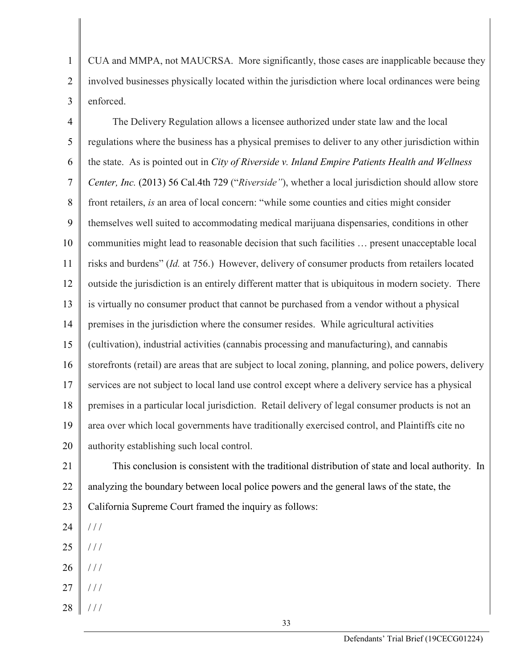1 2 3 CUA and MMPA, not MAUCRSA. More significantly, those cases are inapplicable because they involved businesses physically located within the jurisdiction where local ordinances were being enforced.

4 5 6 7 8 9 10 11 12 13 14 15 16 17 18 19 20 The Delivery Regulation allows a licensee authorized under state law and the local regulations where the business has a physical premises to deliver to any other jurisdiction within the state. As is pointed out in *City of Riverside v. Inland Empire Patients Health and Wellness Center, Inc.* (2013) 56 Cal.4th 729 ("*Riverside"*), whether a local jurisdiction should allow store front retailers, *is* an area of local concern: "while some counties and cities might consider themselves well suited to accommodating medical marijuana dispensaries, conditions in other communities might lead to reasonable decision that such facilities … present unacceptable local risks and burdens" (*Id.* at 756.) However, delivery of consumer products from retailers located outside the jurisdiction is an entirely different matter that is ubiquitous in modern society. There is virtually no consumer product that cannot be purchased from a vendor without a physical premises in the jurisdiction where the consumer resides. While agricultural activities (cultivation), industrial activities (cannabis processing and manufacturing), and cannabis storefronts (retail) are areas that are subject to local zoning, planning, and police powers, delivery services are not subject to local land use control except where a delivery service has a physical premises in a particular local jurisdiction. Retail delivery of legal consumer products is not an area over which local governments have traditionally exercised control, and Plaintiffs cite no authority establishing such local control.

21 22 23 This conclusion is consistent with the traditional distribution of state and local authority. In analyzing the boundary between local police powers and the general laws of the state, the California Supreme Court framed the inquiry as follows:

- 24  $//$
- 25  $//$
- 26  $\frac{\displaystyle /}{\displaystyle /}$
- 27  $1/1$
- 28 / / /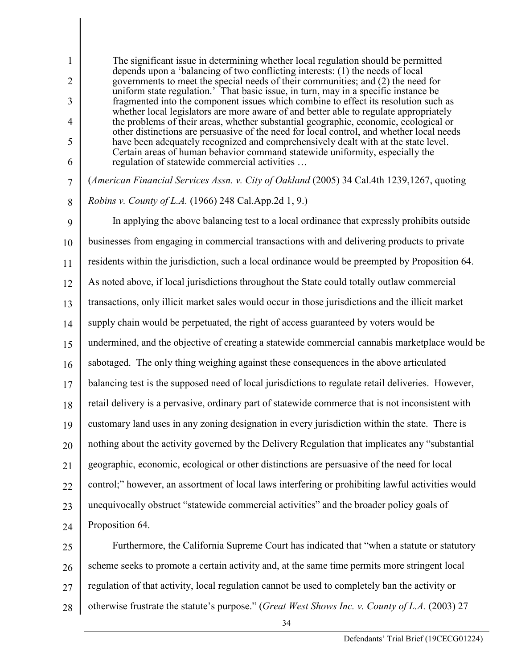The significant issue in determining whether local regulation should be permitted depends upon a 'balancing of two conflicting interests: (1) the needs of local governments to meet the special needs of their communities; and (2) the need for uniform state regulation.' That basic issue, in turn, may in a specific instance be fragmented into the component issues which combine to effect its resolution such as whether local legislators are more aware of and better able to regulate appropriately the problems of their areas, whether substantial geographic, economic, ecological or other distinctions are persuasive of the need for local control, and whether local needs have been adequately recognized and comprehensively dealt with at the state level. Certain areas of human behavior command statewide uniformity, especially the regulation of statewide commercial activities …

1

2

3

4

5

6

7 8 (*American Financial Services Assn. v. City of Oakland* (2005) 34 Cal.4th 1239,1267, quoting *Robins v. County of L.A.* (1966) 248 Cal.App.2d 1, 9.)

9 10 11 12 13 14 15 16 17 18 19 20 21 22 23 24 In applying the above balancing test to a local ordinance that expressly prohibits outside businesses from engaging in commercial transactions with and delivering products to private residents within the jurisdiction, such a local ordinance would be preempted by Proposition 64. As noted above, if local jurisdictions throughout the State could totally outlaw commercial transactions, only illicit market sales would occur in those jurisdictions and the illicit market supply chain would be perpetuated, the right of access guaranteed by voters would be undermined, and the objective of creating a statewide commercial cannabis marketplace would be sabotaged. The only thing weighing against these consequences in the above articulated balancing test is the supposed need of local jurisdictions to regulate retail deliveries. However, retail delivery is a pervasive, ordinary part of statewide commerce that is not inconsistent with customary land uses in any zoning designation in every jurisdiction within the state. There is nothing about the activity governed by the Delivery Regulation that implicates any "substantial geographic, economic, ecological or other distinctions are persuasive of the need for local control;" however, an assortment of local laws interfering or prohibiting lawful activities would unequivocally obstruct "statewide commercial activities" and the broader policy goals of Proposition 64.

25 26 27 28 Furthermore, the California Supreme Court has indicated that "when a statute or statutory scheme seeks to promote a certain activity and, at the same time permits more stringent local regulation of that activity, local regulation cannot be used to completely ban the activity or otherwise frustrate the statute's purpose." (*Great West Shows Inc. v. County of L.A.* (2003) 27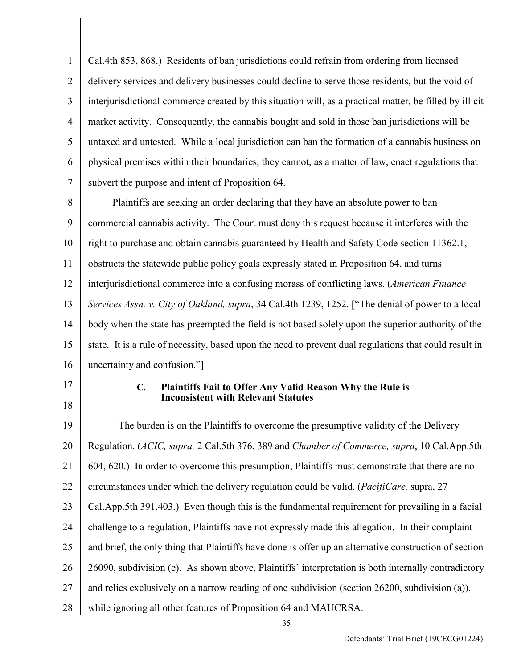1 2 3 4 5 6 7 Cal.4th 853, 868.) Residents of ban jurisdictions could refrain from ordering from licensed delivery services and delivery businesses could decline to serve those residents, but the void of interjurisdictional commerce created by this situation will, as a practical matter, be filled by illicit market activity. Consequently, the cannabis bought and sold in those ban jurisdictions will be untaxed and untested. While a local jurisdiction can ban the formation of a cannabis business on physical premises within their boundaries, they cannot, as a matter of law, enact regulations that subvert the purpose and intent of Proposition 64.

8 9 10 11 12 13 14 15 16 Plaintiffs are seeking an order declaring that they have an absolute power to ban commercial cannabis activity. The Court must deny this request because it interferes with the right to purchase and obtain cannabis guaranteed by Health and Safety Code section 11362.1, obstructs the statewide public policy goals expressly stated in Proposition 64, and turns interjurisdictional commerce into a confusing morass of conflicting laws. (*American Finance Services Assn. v. City of Oakland, supra*, 34 Cal.4th 1239, 1252. ["The denial of power to a local body when the state has preempted the field is not based solely upon the superior authority of the state. It is a rule of necessity, based upon the need to prevent dual regulations that could result in uncertainty and confusion."]

17

18

### **C. Plaintiffs Fail to Offer Any Valid Reason Why the Rule is Inconsistent with Relevant Statutes**

19 20 21 22 23 24 25 26 27 28 The burden is on the Plaintiffs to overcome the presumptive validity of the Delivery Regulation. (*ACIC, supra,* 2 Cal.5th 376, 389 and *Chamber of Commerce, supra*, 10 Cal.App.5th 604, 620.) In order to overcome this presumption, Plaintiffs must demonstrate that there are no circumstances under which the delivery regulation could be valid. (*PacifiCare,* supra, 27 Cal.App.5th 391,403.) Even though this is the fundamental requirement for prevailing in a facial challenge to a regulation, Plaintiffs have not expressly made this allegation. In their complaint and brief, the only thing that Plaintiffs have done is offer up an alternative construction of section 26090, subdivision (e). As shown above, Plaintiffs' interpretation is both internally contradictory and relies exclusively on a narrow reading of one subdivision (section 26200, subdivision (a)), while ignoring all other features of Proposition 64 and MAUCRSA.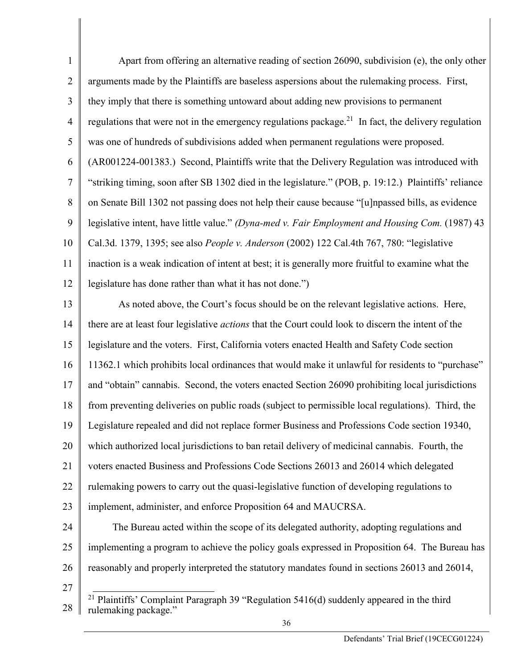| $\mathbf{1}$   | Apart from offering an alternative reading of section 26090, subdivision (e), the only other                   |  |
|----------------|----------------------------------------------------------------------------------------------------------------|--|
| $\overline{2}$ | arguments made by the Plaintiffs are baseless aspersions about the rulemaking process. First,                  |  |
| 3              | they imply that there is something untoward about adding new provisions to permanent                           |  |
| 4              | regulations that were not in the emergency regulations package. <sup>21</sup> In fact, the delivery regulation |  |
| 5              | was one of hundreds of subdivisions added when permanent regulations were proposed.                            |  |
| 6              | (AR001224-001383.) Second, Plaintiffs write that the Delivery Regulation was introduced with                   |  |
| $\tau$         | "striking timing, soon after SB 1302 died in the legislature." (POB, p. 19:12.) Plaintiffs' reliance           |  |
| 8              | on Senate Bill 1302 not passing does not help their cause because "[u] npassed bills, as evidence              |  |
| 9              | legislative intent, have little value." (Dyna-med v. Fair Employment and Housing Com. (1987) 43                |  |
| 10             | Cal.3d. 1379, 1395; see also People v. Anderson (2002) 122 Cal.4th 767, 780: "legislative                      |  |
| 11             | inaction is a weak indication of intent at best; it is generally more fruitful to examine what the             |  |
| 12             | legislature has done rather than what it has not done.")                                                       |  |
| 13             | As noted above, the Court's focus should be on the relevant legislative actions. Here,                         |  |
| 14             | there are at least four legislative <i>actions</i> that the Court could look to discern the intent of the      |  |
| 15             | legislature and the voters. First, California voters enacted Health and Safety Code section                    |  |
| 16             | 11362.1 which prohibits local ordinances that would make it unlawful for residents to "purchase"               |  |
| 17             | and "obtain" cannabis. Second, the voters enacted Section 26090 prohibiting local jurisdictions                |  |
| 18             | from preventing deliveries on public roads (subject to permissible local regulations). Third, the              |  |
| 19             | Legislature repealed and did not replace former Business and Professions Code section 19340,                   |  |
| 20             | which authorized local jurisdictions to ban retail delivery of medicinal cannabis. Fourth, the                 |  |
| 21             | voters enacted Business and Professions Code Sections 26013 and 26014 which delegated                          |  |
| 22             | rulemaking powers to carry out the quasi-legislative function of developing regulations to                     |  |
| 23             | implement, administer, and enforce Proposition 64 and MAUCRSA.                                                 |  |
| 24             | The Bureau acted within the scope of its delegated authority, adopting regulations and                         |  |
| 25             | implementing a program to achieve the policy goals expressed in Proposition 64. The Bureau has                 |  |
| 26             | reasonably and properly interpreted the statutory mandates found in sections 26013 and 26014,                  |  |
| 27             |                                                                                                                |  |
| 28             | Plaintiffs' Complaint Paragraph 39 "Regulation 5416(d) suddenly appeared in the third<br>rulemaking package."  |  |